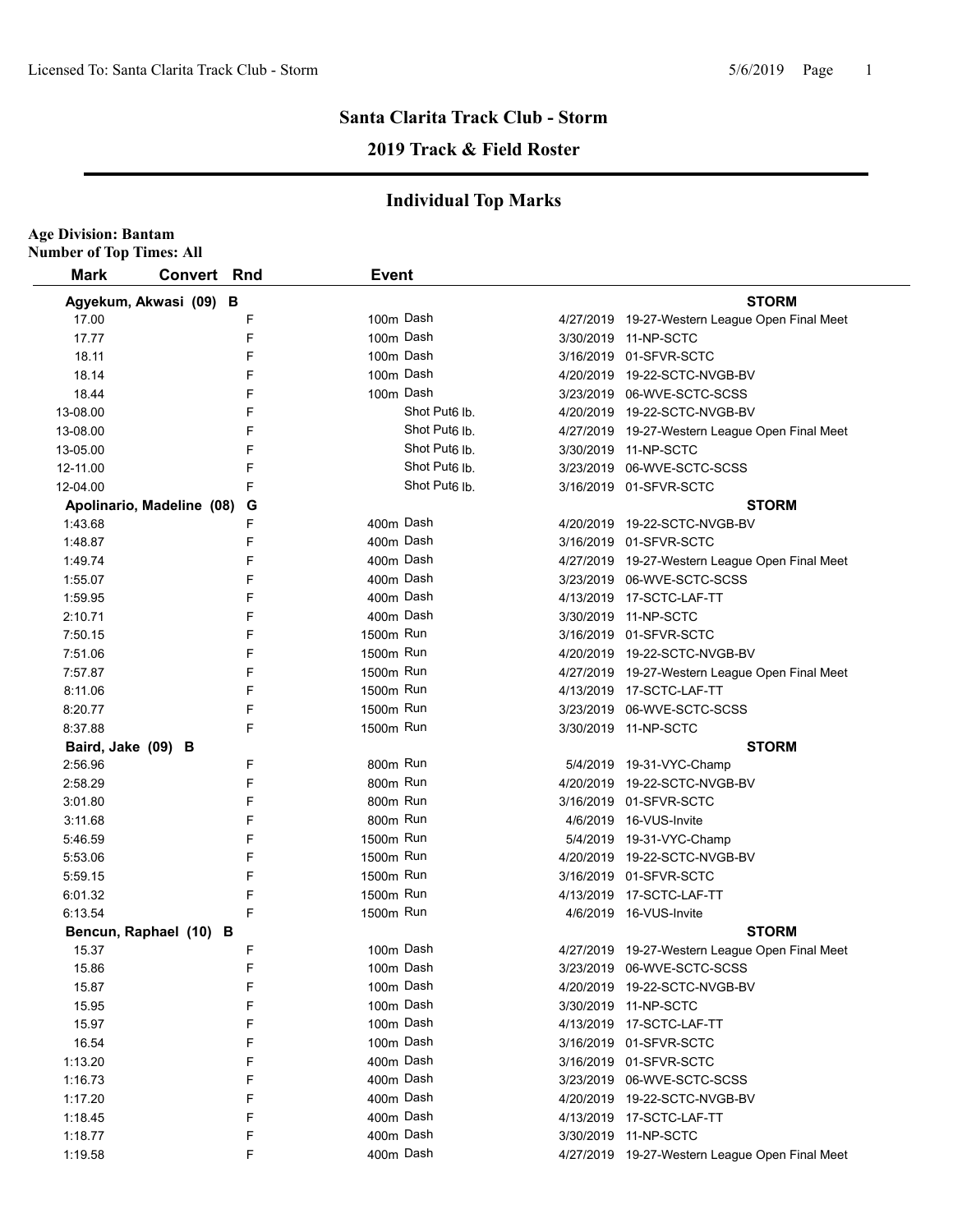**Age Division: Bantam**

# **Santa Clarita Track Club - Storm**

# **2019 Track & Field Roster**

| <b>Mark</b>        | <b>Convert</b>            | Rnd | <b>Event</b> |                           |                                                                        |
|--------------------|---------------------------|-----|--------------|---------------------------|------------------------------------------------------------------------|
|                    | Agyekum, Akwasi (09) B    |     |              |                           | <b>STORM</b>                                                           |
| 17.00              |                           | F   | 100m Dash    |                           | 4/27/2019 19-27-Western League Open Final Meet                         |
| 17.77              |                           | F   | 100m Dash    |                           | 3/30/2019 11-NP-SCTC                                                   |
|                    |                           | F   | 100m Dash    |                           |                                                                        |
| 18.11<br>18.14     |                           | F   | 100m Dash    |                           | 3/16/2019 01-SFVR-SCTC                                                 |
| 18.44              |                           | F   | 100m Dash    |                           | 4/20/2019 19-22-SCTC-NVGB-BV<br>3/23/2019 06-WVE-SCTC-SCSS             |
| 13-08.00           |                           | F   |              | Shot Put <sub>6</sub> lb. | 4/20/2019 19-22-SCTC-NVGB-BV                                           |
| 13-08.00           |                           | F   |              | Shot Put <sub>6</sub> lb. |                                                                        |
| 13-05.00           |                           | F   |              | Shot Put <sub>6</sub> lb. | 4/27/2019 19-27-Western League Open Final Meet<br>3/30/2019 11-NP-SCTC |
| 12-11.00           |                           | F   |              | Shot Put <sub>6</sub> Ib  | 3/23/2019 06-WVE-SCTC-SCSS                                             |
| 12-04.00           |                           | F   |              | Shot Put <sub>6</sub> lb. | 3/16/2019 01-SFVR-SCTC                                                 |
|                    | Apolinario, Madeline (08) | G   |              |                           | <b>STORM</b>                                                           |
| 1:43.68            |                           | F   | 400m Dash    |                           | 4/20/2019 19-22-SCTC-NVGB-BV                                           |
| 1:48.87            |                           | F   | 400m Dash    |                           | 3/16/2019 01-SFVR-SCTC                                                 |
| 1:49.74            |                           | F   | 400m Dash    |                           | 4/27/2019 19-27-Western League Open Final Meet                         |
| 1:55.07            |                           | F   | 400m Dash    |                           | 3/23/2019 06-WVE-SCTC-SCSS                                             |
| 1:59.95            |                           | F   | 400m Dash    |                           | 4/13/2019 17-SCTC-LAF-TT                                               |
| 2:10.71            |                           | F   | 400m Dash    |                           | 3/30/2019 11-NP-SCTC                                                   |
| 7:50.15            |                           | F   | 1500m Run    |                           | 3/16/2019 01-SFVR-SCTC                                                 |
| 7:51.06            |                           | F   | 1500m Run    |                           | 4/20/2019 19-22-SCTC-NVGB-BV                                           |
| 7:57.87            |                           | F   | 1500m Run    |                           | 4/27/2019 19-27-Western League Open Final Meet                         |
| 8:11.06            |                           | F   | 1500m Run    |                           | 4/13/2019 17-SCTC-LAF-TT                                               |
| 8:20.77            |                           | F   | 1500m Run    |                           | 3/23/2019 06-WVE-SCTC-SCSS                                             |
| 8:37.88            |                           | F   | 1500m Run    |                           | 3/30/2019 11-NP-SCTC                                                   |
| Baird, Jake (09) B |                           |     |              |                           | <b>STORM</b>                                                           |
| 2:56.96            |                           | F   | 800m Run     |                           | 5/4/2019 19-31-VYC-Champ                                               |
| 2:58.29            |                           | F   | 800m Run     |                           | 4/20/2019 19-22-SCTC-NVGB-BV                                           |
| 3:01.80            |                           | F   | 800m Run     |                           | 3/16/2019 01-SFVR-SCTC                                                 |
| 3:11.68            |                           | F   | 800m Run     |                           | 4/6/2019 16-VUS-Invite                                                 |
| 5:46.59            |                           | F   | 1500m Run    |                           | 5/4/2019 19-31-VYC-Champ                                               |
| 5:53.06            |                           | F   | 1500m Run    |                           | 4/20/2019 19-22-SCTC-NVGB-BV                                           |
| 5:59.15            |                           | F   | 1500m Run    |                           | 3/16/2019 01-SFVR-SCTC                                                 |
| 6:01.32            |                           | F   | 1500m Run    |                           | 4/13/2019 17-SCTC-LAF-TT                                               |
| 6:13.54            |                           | F   | 1500m Run    |                           | 4/6/2019 16-VUS-Invite                                                 |
|                    | Bencun, Raphael (10) B    |     |              |                           | <b>STORM</b>                                                           |
| 15.37              |                           | F   | 100m Dash    |                           | 4/27/2019 19-27-Western League Open Final Meet                         |
| 15.86              |                           | F   | 100m Dash    |                           | 3/23/2019 06-WVE-SCTC-SCSS                                             |
| 15.87              |                           | F   | 100m Dash    |                           | 4/20/2019 19-22-SCTC-NVGB-BV                                           |
| 15.95              |                           | F   | 100m Dash    |                           | 3/30/2019 11-NP-SCTC                                                   |
| 15.97              |                           | F   | 100m Dash    |                           | 4/13/2019 17-SCTC-LAF-TT                                               |
| 16.54              |                           | F   | 100m Dash    |                           | 3/16/2019 01-SFVR-SCTC                                                 |
| 1:13.20            |                           | F   | 400m Dash    |                           | 3/16/2019 01-SFVR-SCTC                                                 |
| 1:16.73            |                           | F   | 400m Dash    |                           | 3/23/2019 06-WVE-SCTC-SCSS                                             |
| 1:17.20            |                           | F   | 400m Dash    |                           | 4/20/2019 19-22-SCTC-NVGB-BV                                           |
| 1:18.45            |                           | F   | 400m Dash    |                           | 4/13/2019 17-SCTC-LAF-TT                                               |
| 1:18.77            |                           | F   | 400m Dash    |                           | 3/30/2019 11-NP-SCTC                                                   |
| 1:19.58            |                           | F   | 400m Dash    |                           | 4/27/2019 19-27-Western League Open Final Meet                         |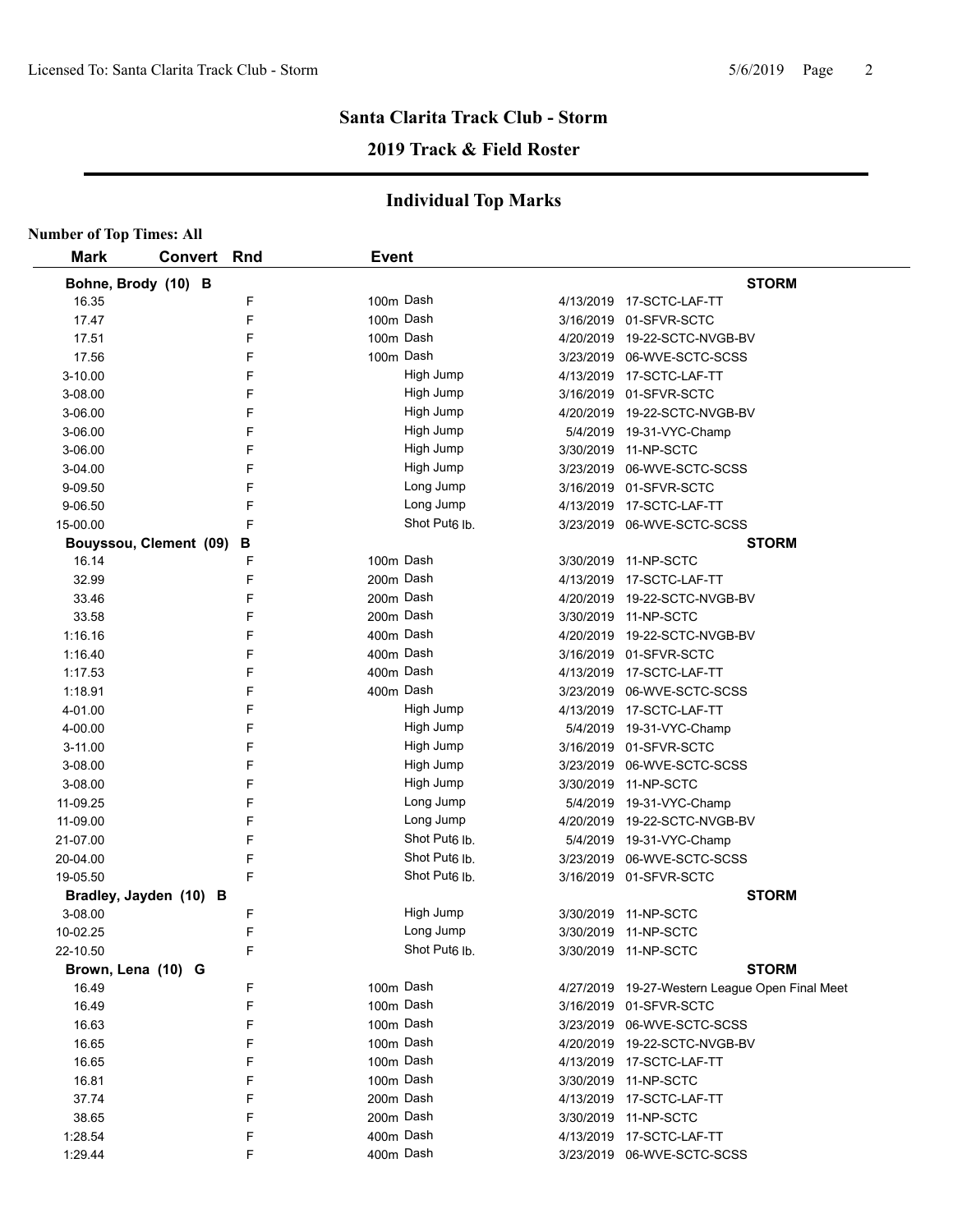# **2019 Track & Field Roster**

| <b>Number of Top Times: All</b> |         |        |                           |           |                                                  |
|---------------------------------|---------|--------|---------------------------|-----------|--------------------------------------------------|
| <b>Mark</b>                     | Convert | Rnd    | <b>Event</b>              |           |                                                  |
| Bohne, Brody (10) B             |         |        |                           |           | <b>STORM</b>                                     |
| 16.35                           |         | F      | 100m Dash                 |           | 4/13/2019 17-SCTC-LAF-TT                         |
| 17.47                           |         | F      | 100m Dash                 |           | 3/16/2019 01-SFVR-SCTC                           |
| 17.51                           |         | F      | 100m Dash                 |           | 4/20/2019 19-22-SCTC-NVGB-BV                     |
| 17.56                           |         | F      | 100m Dash                 |           | 3/23/2019 06-WVE-SCTC-SCSS                       |
| 3-10.00                         |         | F      | High Jump                 |           | 4/13/2019 17-SCTC-LAF-TT                         |
| 3-08.00                         |         | F      | High Jump                 |           | 3/16/2019 01-SFVR-SCTC                           |
| 3-06.00                         |         | F      | High Jump                 |           | 4/20/2019 19-22-SCTC-NVGB-BV                     |
| 3-06.00                         |         | F      | High Jump                 |           | 5/4/2019 19-31-VYC-Champ                         |
| 3-06.00                         |         | F      | High Jump                 |           | 3/30/2019 11-NP-SCTC                             |
| 3-04.00                         |         | F      | High Jump                 |           | 3/23/2019 06-WVE-SCTC-SCSS                       |
| 9-09.50                         |         | F      | Long Jump                 |           | 3/16/2019 01-SFVR-SCTC                           |
| 9-06.50                         |         | F      | Long Jump                 |           | 4/13/2019  17-SCTC-LAF-TT                        |
| 15-00.00                        |         | F      | Shot Put <sub>6</sub> lb. |           | 3/23/2019 06-WVE-SCTC-SCSS                       |
| Bouyssou, Clement (09)          |         | в      |                           |           | <b>STORM</b>                                     |
| 16.14                           |         | F      | 100m Dash                 |           | 3/30/2019 11-NP-SCTC                             |
| 32.99                           |         | F      | 200m Dash                 |           | 4/13/2019  17-SCTC-LAF-TT                        |
| 33.46                           |         | F      | 200m Dash                 |           | 4/20/2019 19-22-SCTC-NVGB-BV                     |
| 33.58                           |         | F      | 200m Dash                 |           | 3/30/2019 11-NP-SCTC                             |
| 1:16.16                         |         | F      | 400m Dash                 |           | 4/20/2019 19-22-SCTC-NVGB-BV                     |
| 1:16.40                         |         | F      | 400m Dash                 |           | 3/16/2019 01-SFVR-SCTC                           |
| 1:17.53                         |         | F      | 400m Dash                 |           | 4/13/2019  17-SCTC-LAF-TT                        |
| 1:18.91                         |         | F      | 400m Dash                 |           | 3/23/2019 06-WVE-SCTC-SCSS                       |
| 4-01.00                         |         | F      | High Jump                 |           | 4/13/2019  17-SCTC-LAF-TT                        |
| 4-00.00                         |         | F      | High Jump                 |           | 5/4/2019 19-31-VYC-Champ                         |
| $3-11.00$                       |         | F      | High Jump                 |           | 3/16/2019 01-SFVR-SCTC                           |
| 3-08.00                         |         | F      | High Jump                 |           | 3/23/2019 06-WVE-SCTC-SCSS                       |
| 3-08.00                         |         | F      | High Jump                 |           | 3/30/2019 11-NP-SCTC                             |
| 11-09.25                        |         | F      | Long Jump                 |           | 5/4/2019 19-31-VYC-Champ                         |
| 11-09.00                        |         | F      | Long Jump                 |           | 4/20/2019 19-22-SCTC-NVGB-BV                     |
| 21-07.00                        |         | F      | Shot Put <sub>6</sub> Ib. |           | 5/4/2019 19-31-VYC-Champ                         |
| 20-04.00                        |         | F      | Shot Put <sub>6</sub> lb. | 3/23/2019 | 06-WVE-SCTC-SCSS                                 |
| 19-05.50                        |         | F      | Shot Put <sub>6</sub> lb. |           | 3/16/2019 01-SFVR-SCTC                           |
| Bradley, Jayden (10) B          |         |        |                           |           | <b>STORM</b>                                     |
| 3-08.00                         |         | F      | High Jump                 |           | 3/30/2019 11-NP-SCTC                             |
| 10-02.25                        |         | F      | Long Jump                 |           | 3/30/2019 11-NP-SCTC                             |
| 22-10.50                        |         | F      | Shot Put6 lb.             |           | 3/30/2019 11-NP-SCTC                             |
| Brown, Lena (10) G              |         |        |                           |           | <b>STORM</b>                                     |
| 16.49                           |         | F      | 100m Dash                 |           | 4/27/2019 19-27-Western League Open Final Meet   |
| 16.49                           |         | F      | 100m Dash                 |           | 3/16/2019 01-SFVR-SCTC                           |
| 16.63                           |         | F      | 100m Dash                 |           | 3/23/2019 06-WVE-SCTC-SCSS                       |
| 16.65                           |         | F      | 100m Dash                 |           | 4/20/2019 19-22-SCTC-NVGB-BV                     |
| 16.65                           |         | F      | 100m Dash                 |           | 4/13/2019 17-SCTC-LAF-TT                         |
| 16.81                           |         | F      | 100m Dash                 |           | 3/30/2019 11-NP-SCTC                             |
| 37.74                           |         | F      | 200m Dash                 |           | 4/13/2019 17-SCTC-LAF-TT                         |
|                                 |         |        |                           |           |                                                  |
|                                 |         |        |                           |           |                                                  |
| 38.65<br>1:28.54                |         | F<br>F | 200m Dash<br>400m Dash    |           | 3/30/2019 11-NP-SCTC<br>4/13/2019 17-SCTC-LAF-TT |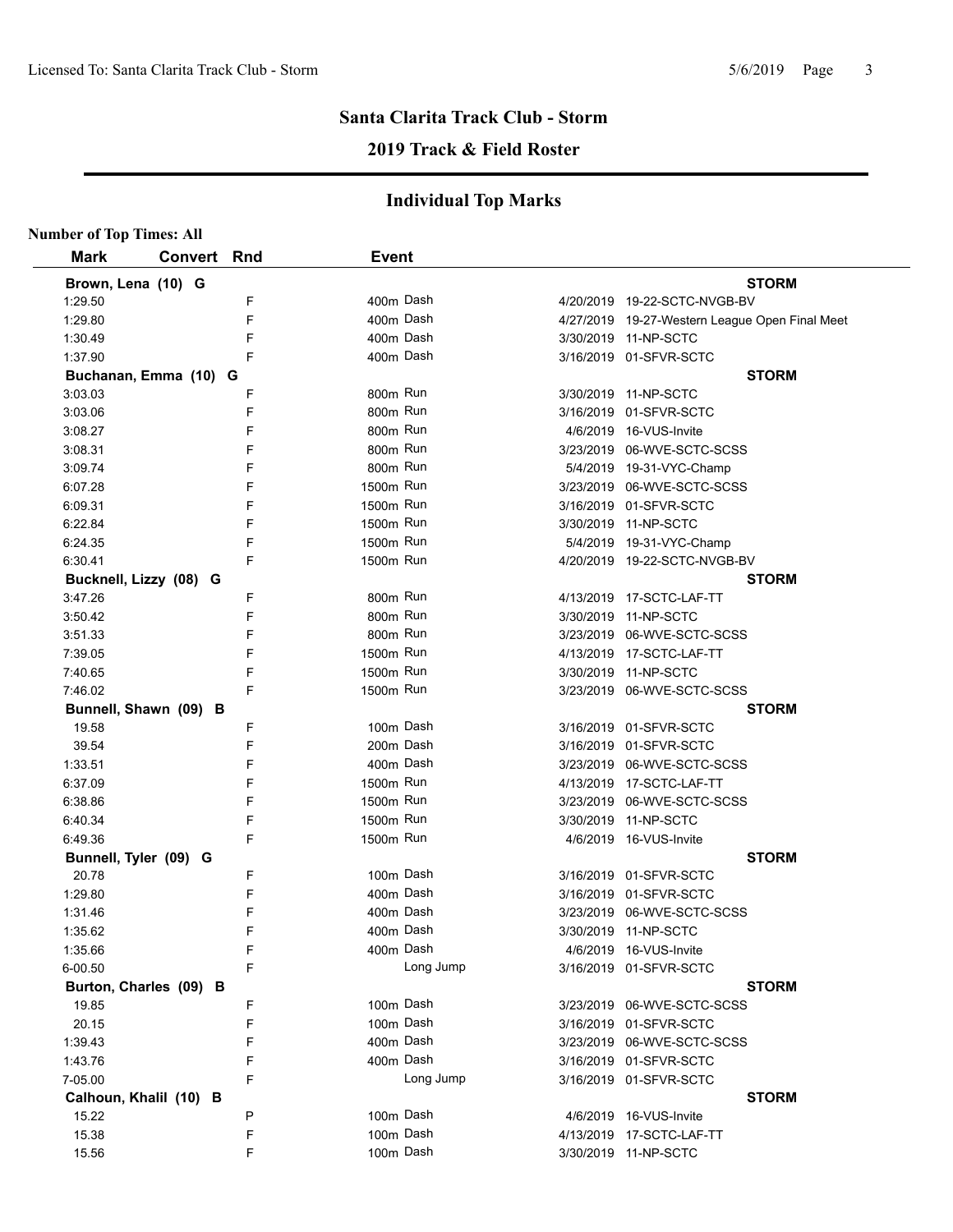# **2019 Track & Field Roster**

| <b>Number of Top Times: All</b> |             |   |                       |           |                                                |
|---------------------------------|-------------|---|-----------------------|-----------|------------------------------------------------|
| <b>Mark</b>                     | Convert Rnd |   | <b>Event</b>          |           |                                                |
| Brown, Lena (10) G              |             |   |                       |           | <b>STORM</b>                                   |
| 1:29.50                         |             | F |                       | 400m Dash | 4/20/2019 19-22-SCTC-NVGB-BV                   |
| 1:29.80                         |             | F |                       | 400m Dash | 4/27/2019 19-27-Western League Open Final Meet |
| 1:30.49                         |             | F |                       | 400m Dash | 3/30/2019 11-NP-SCTC                           |
| 1:37.90                         |             | F |                       | 400m Dash | 3/16/2019 01-SFVR-SCTC                         |
| Buchanan, Emma (10) G           |             |   |                       |           | <b>STORM</b>                                   |
| 3:03.03                         |             | F | 800m Run              |           | 3/30/2019 11-NP-SCTC                           |
| 3:03.06                         |             | F | 800m Run              |           | 3/16/2019 01-SFVR-SCTC                         |
| 3:08.27                         |             | F | 800m Run              |           | 4/6/2019 16-VUS-Invite                         |
| 3:08.31                         |             | F | 800m Run              |           | 3/23/2019 06-WVE-SCTC-SCSS                     |
| 3:09.74                         |             | F | 800m Run              |           | 5/4/2019 19-31-VYC-Champ                       |
| 6:07.28                         |             | F | 1500m Run             |           | 3/23/2019 06-WVE-SCTC-SCSS                     |
| 6:09.31                         |             | F | 1500m Run             |           | 3/16/2019 01-SFVR-SCTC                         |
| 6:22.84                         |             | F | 1500m Run             |           | 3/30/2019 11-NP-SCTC                           |
| 6:24.35                         |             | F | 1500m Run             |           | 5/4/2019 19-31-VYC-Champ                       |
| 6:30.41                         |             | F | 1500 <sub>m</sub> Run |           | 4/20/2019 19-22-SCTC-NVGB-BV                   |
| Bucknell, Lizzy (08) G          |             |   |                       |           | <b>STORM</b>                                   |
| 3:47.26                         |             | F | 800m Run              |           | 4/13/2019 17-SCTC-LAF-TT                       |
| 3:50.42                         |             | F | 800m Run              |           | 3/30/2019 11-NP-SCTC                           |
| 3:51.33                         |             | F | 800m Run              |           | 3/23/2019 06-WVE-SCTC-SCSS                     |
| 7:39.05                         |             | F | 1500m Run             |           | 4/13/2019 17-SCTC-LAF-TT                       |
| 7:40.65                         |             | F | 1500m Run             |           | 3/30/2019 11-NP-SCTC                           |
| 7:46.02                         |             | F | 1500m Run             |           | 3/23/2019 06-WVE-SCTC-SCSS                     |
| Bunnell, Shawn (09) B           |             |   |                       |           | <b>STORM</b>                                   |
| 19.58                           |             | F |                       | 100m Dash | 3/16/2019 01-SFVR-SCTC                         |
| 39.54                           |             | F |                       | 200m Dash | 3/16/2019 01-SFVR-SCTC                         |
| 1:33.51                         |             | F |                       | 400m Dash | 3/23/2019 06-WVE-SCTC-SCSS                     |
| 6:37.09                         |             | F | 1500m Run             |           | 4/13/2019 17-SCTC-LAF-TT                       |
| 6:38.86                         |             | F | 1500m Run             |           | 3/23/2019 06-WVE-SCTC-SCSS                     |
| 6:40.34                         |             | F | 1500m Run             |           | 3/30/2019 11-NP-SCTC                           |
| 6:49.36                         |             | F | 1500m Run             |           | 4/6/2019 16-VUS-Invite                         |
| Bunnell, Tyler (09) G           |             |   |                       |           | <b>STORM</b>                                   |
| 20.78                           |             | F |                       | 100m Dash | 3/16/2019 01-SFVR-SCTC                         |
| 1:29.80                         |             | F |                       | 400m Dash | 3/16/2019 01-SFVR-SCTC                         |
| 1:31.46                         |             | F |                       | 400m Dash | 3/23/2019 06-WVE-SCTC-SCSS                     |
| 1.35.62                         |             | F |                       | 400m Dash | 3/30/2019 11-NP-SCTC                           |
| 1:35.66                         |             | F |                       | 400m Dash | 4/6/2019 16-VUS-Invite                         |
| 6-00.50                         |             | F |                       | Long Jump | 3/16/2019 01-SFVR-SCTC                         |
| Burton, Charles (09) B          |             |   |                       |           | <b>STORM</b>                                   |
| 19.85                           |             | F |                       | 100m Dash | 3/23/2019 06-WVE-SCTC-SCSS                     |
| 20.15                           |             | F |                       | 100m Dash | 3/16/2019 01-SFVR-SCTC                         |
| 1:39.43                         |             | F |                       | 400m Dash | 3/23/2019 06-WVE-SCTC-SCSS                     |
| 1:43.76                         |             | F |                       | 400m Dash | 3/16/2019 01-SFVR-SCTC                         |
| 7-05.00                         |             | F |                       | Long Jump | 3/16/2019 01-SFVR-SCTC                         |
| Calhoun, Khalil (10) B          |             |   |                       |           | <b>STORM</b>                                   |
| 15.22                           |             | P |                       | 100m Dash | 4/6/2019 16-VUS-Invite                         |
| 15.38                           |             | F |                       | 100m Dash | 4/13/2019 17-SCTC-LAF-TT                       |
| 15.56                           |             | F |                       | 100m Dash | 3/30/2019 11-NP-SCTC                           |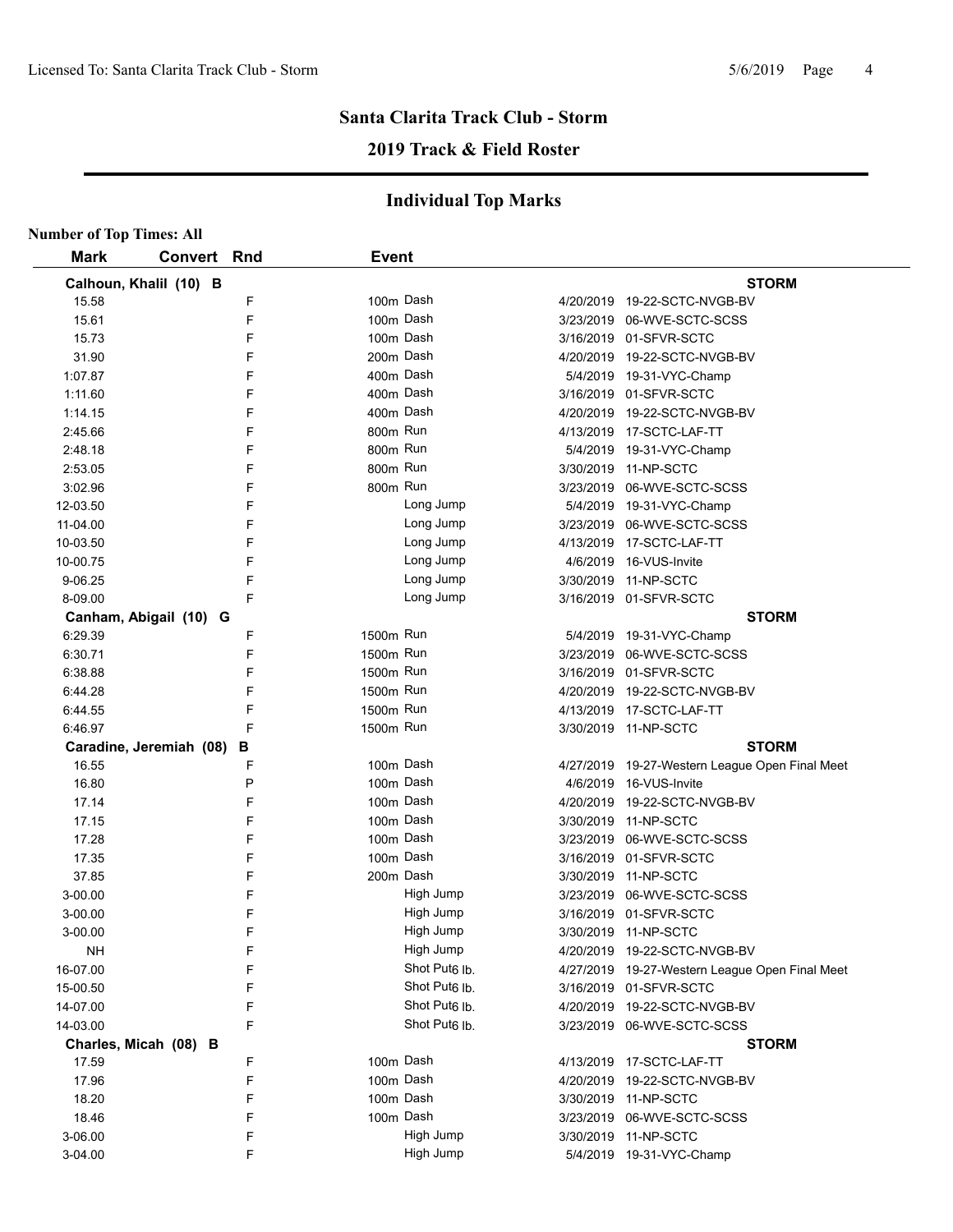# **Santa Clarita Track Club - Storm 2019 Track & Field Roster**

| <b>Number of Top Times: All</b> |                         |   |              |                           |                                                |
|---------------------------------|-------------------------|---|--------------|---------------------------|------------------------------------------------|
| <b>Mark</b>                     | <b>Convert Rnd</b>      |   | <b>Event</b> |                           |                                                |
|                                 | Calhoun, Khalil (10) B  |   |              |                           | <b>STORM</b>                                   |
| 15.58                           |                         | F |              | 100m Dash                 | 4/20/2019 19-22-SCTC-NVGB-BV                   |
| 15.61                           |                         | F |              | 100m Dash                 | 3/23/2019 06-WVE-SCTC-SCSS                     |
| 15.73                           |                         | F |              | 100m Dash                 | 3/16/2019 01-SFVR-SCTC                         |
| 31.90                           |                         | F |              | 200m Dash                 | 4/20/2019  19-22-SCTC-NVGB-BV                  |
| 1:07.87                         |                         | F |              | 400m Dash                 | 5/4/2019 19-31-VYC-Champ                       |
| 1:11.60                         |                         | F |              | 400m Dash                 | 3/16/2019 01-SFVR-SCTC                         |
| 1:14.15                         |                         | F |              | 400m Dash                 | 4/20/2019  19-22-SCTC-NVGB-BV                  |
| 2:45.66                         |                         | F | 800m Run     |                           | 4/13/2019    17-SCTC-LAF-TT                    |
| 2:48.18                         |                         | F | 800m Run     |                           | 5/4/2019 19-31-VYC-Champ                       |
| 2:53.05                         |                         | F | 800m Run     |                           | 3/30/2019 11-NP-SCTC                           |
| 3:02.96                         |                         | F | 800m Run     |                           | 3/23/2019 06-WVE-SCTC-SCSS                     |
| 12-03.50                        |                         | F |              | Long Jump                 | 5/4/2019 19-31-VYC-Champ                       |
| 11-04.00                        |                         | F |              | Long Jump                 | 3/23/2019 06-WVE-SCTC-SCSS                     |
| 10-03.50                        |                         | F |              | Long Jump                 | 4/13/2019 17-SCTC-LAF-TT                       |
| 10-00.75                        |                         | F |              | Long Jump                 | 4/6/2019 16-VUS-Invite                         |
| 9-06.25                         |                         | F |              | Long Jump                 | 3/30/2019 11-NP-SCTC                           |
| 8-09.00                         |                         | F |              | Long Jump                 | 3/16/2019 01-SFVR-SCTC                         |
|                                 | Canham, Abigail (10) G  |   |              |                           | <b>STORM</b>                                   |
| 6:29.39                         |                         | F | 1500m Run    |                           | 5/4/2019 19-31-VYC-Champ                       |
| 6:30.71                         |                         | F | 1500m Run    |                           | 3/23/2019 06-WVE-SCTC-SCSS                     |
| 6:38.88                         |                         | F | 1500m Run    |                           | 3/16/2019 01-SFVR-SCTC                         |
| 6:44.28                         |                         | F | 1500m Run    |                           | 4/20/2019 19-22-SCTC-NVGB-BV                   |
| 6:44.55                         |                         | F | 1500m Run    |                           | 4/13/2019 17-SCTC-LAF-TT                       |
| 6:46.97                         |                         | F | 1500m Run    |                           | 3/30/2019 11-NP-SCTC                           |
|                                 | Caradine, Jeremiah (08) | в |              |                           | <b>STORM</b>                                   |
| 16.55                           |                         | F |              | 100m Dash                 | 4/27/2019 19-27-Western League Open Final Meet |
| 16.80                           |                         | P |              | 100m Dash                 | 4/6/2019 16-VUS-Invite                         |
| 17.14                           |                         | F |              | 100m Dash                 | 4/20/2019 19-22-SCTC-NVGB-BV                   |
| 17.15                           |                         | F |              | 100m Dash                 | 3/30/2019 11-NP-SCTC                           |
| 17.28                           |                         | F |              | 100m Dash                 | 3/23/2019 06-WVE-SCTC-SCSS                     |
| 17.35                           |                         | F |              | 100m Dash                 | 3/16/2019 01-SFVR-SCTC                         |
| 37.85                           |                         | F |              | 200m Dash                 | 3/30/2019 11-NP-SCTC                           |
| 3-00.00                         |                         | F |              | High Jump                 | 3/23/2019 06-WVE-SCTC-SCSS                     |
| 3-00.00                         |                         | F |              | High Jump                 | 3/16/2019 01-SFVR-SCTC                         |
| 3-00.00                         |                         | F |              | High Jump                 | 3/30/2019 11-NP-SCTC                           |
| <b>NH</b>                       |                         | F |              | High Jump                 | 4/20/2019 19-22-SCTC-NVGB-BV                   |
| 16-07.00                        |                         | F |              | Shot Put <sub>6</sub> lb. | 4/27/2019 19-27-Western League Open Final Meet |
| 15-00.50                        |                         | F |              | Shot Put <sub>6</sub> Ib  | 3/16/2019 01-SFVR-SCTC                         |
| 14-07.00                        |                         | F |              | Shot Put <sub>6</sub> lb. | 4/20/2019 19-22-SCTC-NVGB-BV                   |
| 14-03.00                        |                         | F |              | Shot Put <sub>6</sub> lb. | 3/23/2019 06-WVE-SCTC-SCSS                     |
|                                 | Charles, Micah (08) B   |   |              |                           | <b>STORM</b>                                   |
| 17.59                           |                         | F |              | 100m Dash                 | 4/13/2019 17-SCTC-LAF-TT                       |
| 17.96                           |                         | F |              | 100m Dash                 | 4/20/2019 19-22-SCTC-NVGB-BV                   |
| 18.20                           |                         | F |              | 100m Dash                 | 3/30/2019 11-NP-SCTC                           |
| 18.46                           |                         | F |              | 100m Dash                 | 3/23/2019 06-WVE-SCTC-SCSS                     |
| 3-06.00                         |                         | F |              | High Jump                 | 3/30/2019 11-NP-SCTC                           |
| 3-04.00                         |                         | F |              | High Jump                 | 5/4/2019 19-31-VYC-Champ                       |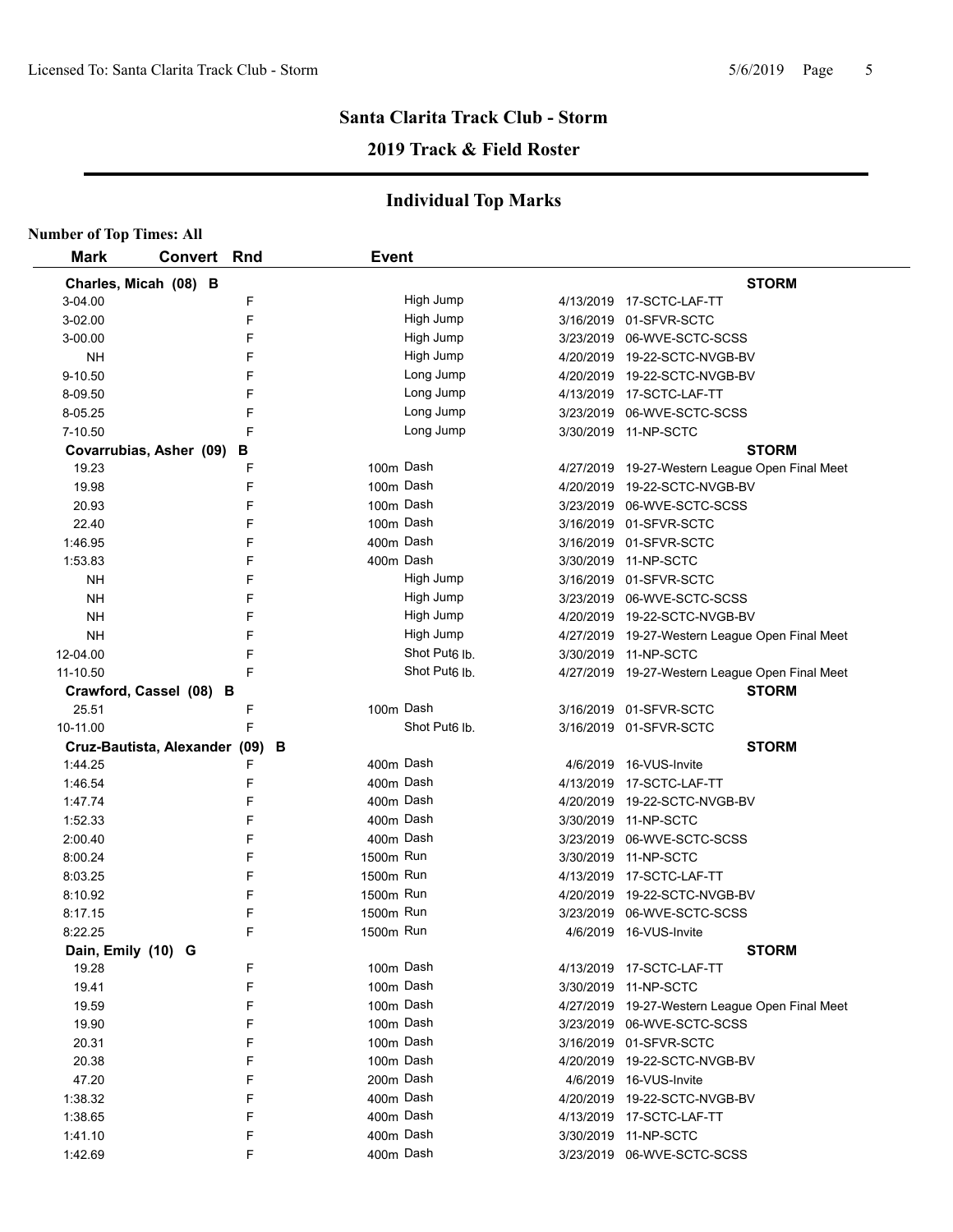## **2019 Track & Field Roster**

| <b>Number of Top Times: All</b> |                               |     |              |                           |                                                |
|---------------------------------|-------------------------------|-----|--------------|---------------------------|------------------------------------------------|
| <b>Mark</b>                     | Convert                       | Rnd | <b>Event</b> |                           |                                                |
|                                 | Charles, Micah (08) B         |     |              |                           | <b>STORM</b>                                   |
| 3-04.00                         |                               | F   |              | High Jump                 | 4/13/2019  17-SCTC-LAF-TT                      |
| 3-02.00                         |                               | F   |              | High Jump                 | 3/16/2019 01-SFVR-SCTC                         |
| 3-00.00                         |                               | F   |              | High Jump                 | 3/23/2019 06-WVE-SCTC-SCSS                     |
| NΗ                              |                               | F   |              | High Jump                 | 4/20/2019 19-22-SCTC-NVGB-BV                   |
| 9-10.50                         |                               | F   |              | Long Jump                 | 4/20/2019 19-22-SCTC-NVGB-BV                   |
| 8-09.50                         |                               | F   |              | Long Jump                 | 4/13/2019 17-SCTC-LAF-TT                       |
| 8-05.25                         |                               | F   |              | Long Jump                 | 3/23/2019 06-WVE-SCTC-SCSS                     |
| 7-10.50                         |                               | F   |              | Long Jump                 | 3/30/2019 11-NP-SCTC                           |
|                                 | Covarrubias, Asher (09)       | в   |              |                           | <b>STORM</b>                                   |
| 19.23                           |                               | F   | 100m Dash    |                           | 4/27/2019 19-27-Western League Open Final Meet |
| 19.98                           |                               | F   | 100m Dash    |                           | 4/20/2019 19-22-SCTC-NVGB-BV                   |
| 20.93                           |                               | F   | 100m Dash    |                           | 3/23/2019 06-WVE-SCTC-SCSS                     |
| 22.40                           |                               | F   | 100m Dash    |                           | 3/16/2019 01-SFVR-SCTC                         |
| 1:46.95                         |                               | F   | 400m Dash    |                           | 3/16/2019 01-SFVR-SCTC                         |
| 1:53.83                         |                               | F   | 400m Dash    |                           | 3/30/2019 11-NP-SCTC                           |
| NΗ                              |                               | F   |              | High Jump                 | 3/16/2019 01-SFVR-SCTC                         |
| NΗ                              |                               | F   |              | High Jump                 | 3/23/2019 06-WVE-SCTC-SCSS                     |
| <b>NH</b>                       |                               | F   |              | High Jump                 | 4/20/2019 19-22-SCTC-NVGB-BV                   |
| <b>NH</b>                       |                               | F   |              | High Jump                 | 4/27/2019 19-27-Western League Open Final Meet |
| 12-04.00                        |                               | F   |              | Shot Put <sub>6</sub> lb. | 3/30/2019 11-NP-SCTC                           |
| 11-10.50                        |                               | F   |              | Shot Put <sub>6</sub> lb. | 4/27/2019 19-27-Western League Open Final Meet |
|                                 | Crawford, Cassel (08) B       |     |              |                           | <b>STORM</b>                                   |
| 25.51                           |                               | F   | 100m Dash    |                           | 3/16/2019 01-SFVR-SCTC                         |
| 10-11.00                        |                               | F   |              | Shot Put <sub>6</sub> Ib. | 3/16/2019 01-SFVR-SCTC                         |
|                                 | Cruz-Bautista, Alexander (09) | В   |              |                           | <b>STORM</b>                                   |
| 1:44.25                         |                               | F   | 400m Dash    |                           | 4/6/2019 16-VUS-Invite                         |
| 1:46.54                         |                               | F   | 400m Dash    |                           | 4/13/2019 17-SCTC-LAF-TT                       |
| 1:47.74                         |                               | F   | 400m Dash    |                           | 4/20/2019 19-22-SCTC-NVGB-BV                   |
| 1:52.33                         |                               | F   | 400m Dash    |                           | 3/30/2019 11-NP-SCTC                           |
| 2:00.40                         |                               | F   | 400m Dash    |                           | 3/23/2019 06-WVE-SCTC-SCSS                     |
| 8:00.24                         |                               | F   | 1500m Run    |                           | 3/30/2019 11-NP-SCTC                           |
| 8:03.25                         |                               | F   | 1500m Run    |                           | 4/13/2019  17-SCTC-LAF-TT                      |
| 8:10.92                         |                               | F   | 1500m Run    |                           | 4/20/2019 19-22-SCTC-NVGB-BV                   |
| 8:17.15                         |                               | F   | 1500m Run    |                           | 3/23/2019 06-WVE-SCTC-SCSS                     |
| 8:22.25                         |                               | F   | 1500m Run    |                           | 4/6/2019 16-VUS-Invite                         |
| Dain, Emily (10) G              |                               |     |              |                           | <b>STORM</b>                                   |
| 19.28                           |                               | F   | 100m Dash    |                           | 4/13/2019 17-SCTC-LAF-TT                       |
| 19.41                           |                               | F   | 100m Dash    |                           | 3/30/2019 11-NP-SCTC                           |
| 19.59                           |                               | F   | 100m Dash    |                           | 4/27/2019 19-27-Western League Open Final Meet |
| 19.90                           |                               | F   | 100m Dash    |                           | 3/23/2019 06-WVE-SCTC-SCSS                     |
| 20.31                           |                               | F   | 100m Dash    |                           | 3/16/2019 01-SFVR-SCTC                         |
| 20.38                           |                               | F   | 100m Dash    |                           | 4/20/2019 19-22-SCTC-NVGB-BV                   |
| 47.20                           |                               | F   | 200m Dash    |                           | 4/6/2019 16-VUS-Invite                         |
| 1:38.32                         |                               | F   | 400m Dash    |                           | 4/20/2019 19-22-SCTC-NVGB-BV                   |
| 1.38.65                         |                               | F   | 400m Dash    |                           | 4/13/2019 17-SCTC-LAF-TT                       |
| 1.41.10                         |                               | F   | 400m Dash    |                           | 3/30/2019 11-NP-SCTC                           |
| 1:42.69                         |                               | F   | 400m Dash    |                           | 3/23/2019 06-WVE-SCTC-SCSS                     |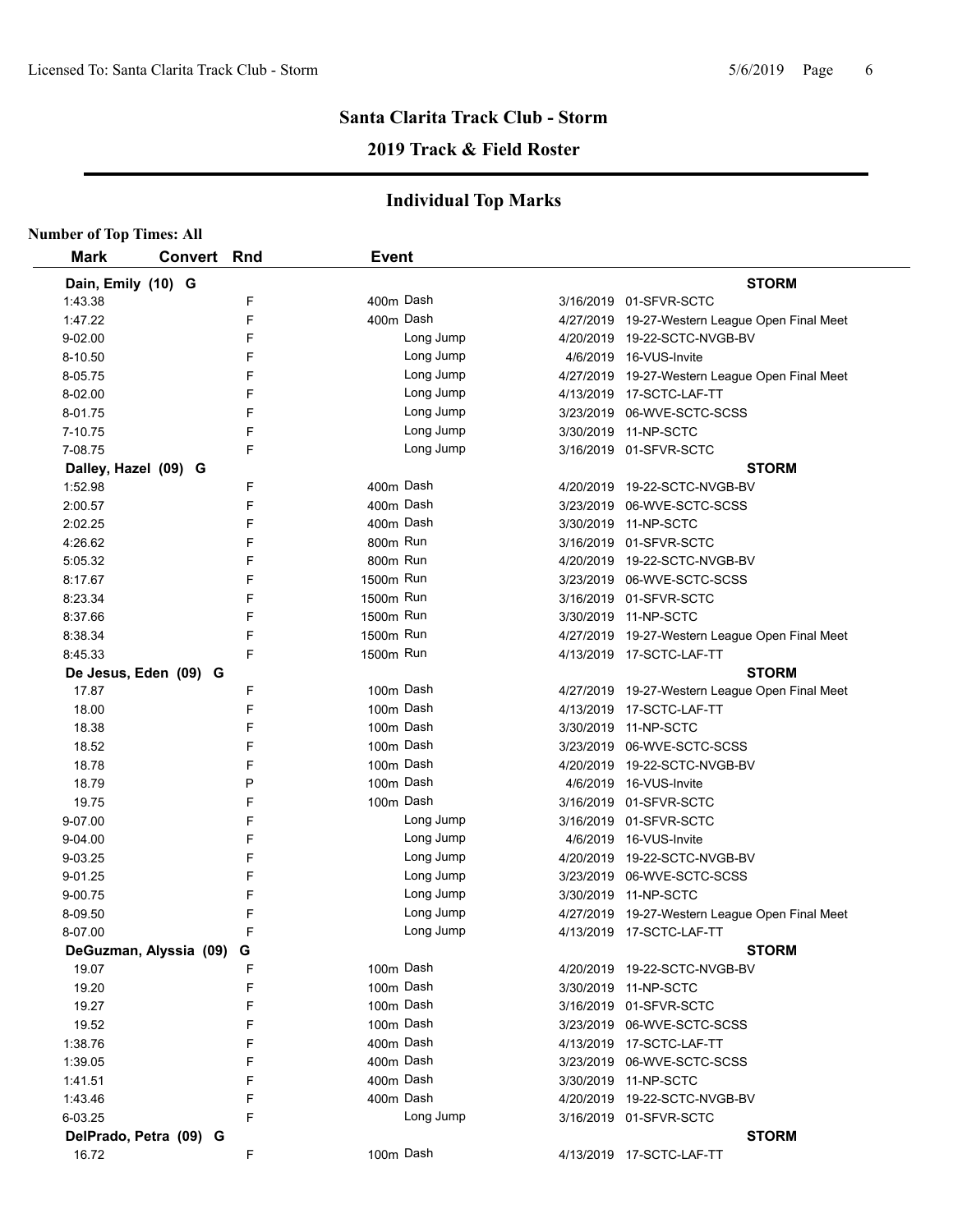# **2019 Track & Field Roster**

| <b>Mark</b>          | Convert Rnd            |   | <b>Event</b> |           |                                                |
|----------------------|------------------------|---|--------------|-----------|------------------------------------------------|
| Dain, Emily (10) G   |                        |   |              |           | <b>STORM</b>                                   |
| 1.43.38              |                        | F | 400m Dash    |           | 3/16/2019 01-SFVR-SCTC                         |
| 1:47.22              |                        | F | 400m Dash    |           | 4/27/2019 19-27-Western League Open Final Meet |
| 9-02.00              |                        | F |              | Long Jump | 4/20/2019 19-22-SCTC-NVGB-BV                   |
| 8-10.50              |                        | F |              | Long Jump | 4/6/2019 16-VUS-Invite                         |
| 8-05.75              |                        | F |              | Long Jump | 4/27/2019 19-27-Western League Open Final Meet |
| 8-02.00              |                        | F |              | Long Jump | 4/13/2019 17-SCTC-LAF-TT                       |
| 8-01.75              |                        | F |              | Long Jump | 3/23/2019 06-WVE-SCTC-SCSS                     |
| 7-10.75              |                        | F |              | Long Jump | 3/30/2019 11-NP-SCTC                           |
| 7-08.75              |                        | F |              | Long Jump | 3/16/2019 01-SFVR-SCTC                         |
| Dalley, Hazel (09) G |                        |   |              |           | <b>STORM</b>                                   |
| 1:52.98              |                        | F | 400m Dash    |           | 4/20/2019 19-22-SCTC-NVGB-BV                   |
| 2:00.57              |                        | F | 400m Dash    |           | 3/23/2019 06-WVE-SCTC-SCSS                     |
| 2:02.25              |                        | F | 400m Dash    |           | 3/30/2019 11-NP-SCTC                           |
| 4:26.62              |                        | F | 800m Run     |           | 3/16/2019 01-SFVR-SCTC                         |
| 5:05.32              |                        | F | 800m Run     |           | 4/20/2019 19-22-SCTC-NVGB-BV                   |
| 8:17.67              |                        | F | 1500m Run    |           | 3/23/2019 06-WVE-SCTC-SCSS                     |
| 8:23.34              |                        | F | 1500m Run    |           | 3/16/2019 01-SFVR-SCTC                         |
| 8:37.66              |                        | F | 1500m Run    |           | 3/30/2019 11-NP-SCTC                           |
| 8:38.34              |                        | F | 1500m Run    |           | 4/27/2019 19-27-Western League Open Final Meet |
| 8:45.33              |                        | F | 1500m Run    |           | 4/13/2019 17-SCTC-LAF-TT                       |
|                      | De Jesus, Eden (09) G  |   |              |           | <b>STORM</b>                                   |
| 17.87                |                        | F | 100m Dash    |           | 4/27/2019 19-27-Western League Open Final Meet |
| 18.00                |                        | F | 100m Dash    |           | 4/13/2019 17-SCTC-LAF-TT                       |
| 18.38                |                        | F | 100m Dash    |           | 3/30/2019 11-NP-SCTC                           |
| 18.52                |                        | F | 100m Dash    |           | 3/23/2019 06-WVE-SCTC-SCSS                     |
| 18.78                |                        | F | 100m Dash    |           | 4/20/2019 19-22-SCTC-NVGB-BV                   |
| 18.79                |                        | P | 100m Dash    |           | 4/6/2019 16-VUS-Invite                         |
| 19.75                |                        | F | 100m Dash    |           | 3/16/2019 01-SFVR-SCTC                         |
| 9-07.00              |                        | F |              | Long Jump | 3/16/2019 01-SFVR-SCTC                         |
| $9 - 04.00$          |                        | F |              | Long Jump | 4/6/2019 16-VUS-Invite                         |
| 9-03.25              |                        | F |              | Long Jump | 4/20/2019 19-22-SCTC-NVGB-BV                   |
| 9-01.25              |                        | F |              | Long Jump | 3/23/2019 06-WVE-SCTC-SCSS                     |
| 9-00.75              |                        | F |              | Long Jump | 3/30/2019 11-NP-SCTC                           |
| 8-09.50              |                        | F |              | Long Jump | 4/27/2019 19-27-Western League Open Final Meet |
| 8-07.00              |                        | F |              | Long Jump | 4/13/2019 17-SCTC-LAF-TT                       |
|                      | DeGuzman, Alyssia (09) | G |              |           | <b>STORM</b>                                   |
| 19.07                |                        | F | 100m Dash    |           | 4/20/2019 19-22-SCTC-NVGB-BV                   |
| 19.20                |                        | F | 100m Dash    |           | 3/30/2019 11-NP-SCTC                           |
| 19.27                |                        | F | 100m Dash    |           | 3/16/2019 01-SFVR-SCTC                         |
| 19.52                |                        | F | 100m Dash    |           | 3/23/2019 06-WVE-SCTC-SCSS                     |
| 1:38.76              |                        | F | 400m Dash    |           | 4/13/2019 17-SCTC-LAF-TT                       |
| 1:39.05              |                        | F | 400m Dash    |           | 3/23/2019 06-WVE-SCTC-SCSS                     |
| 1:41.51              |                        | F | 400m Dash    |           | 3/30/2019 11-NP-SCTC                           |
| 1.43.46              |                        | F | 400m Dash    |           | 4/20/2019 19-22-SCTC-NVGB-BV                   |
| 6-03.25              |                        | F |              | Long Jump | 3/16/2019 01-SFVR-SCTC                         |
|                      | DelPrado, Petra (09) G |   |              |           | <b>STORM</b>                                   |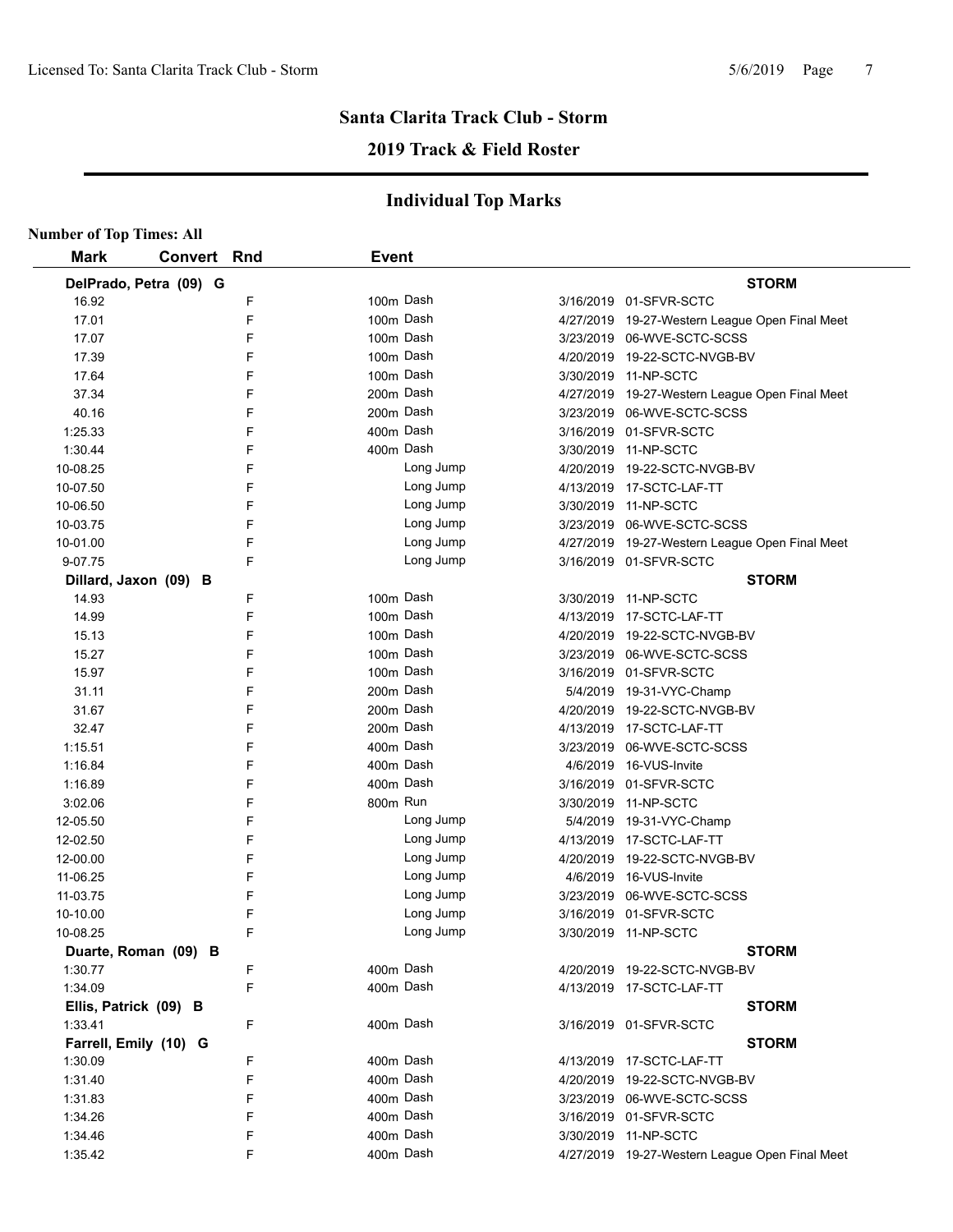# **Santa Clarita Track Club - Storm 2019 Track & Field Roster**

| <b>Number of Top Times: All</b> |                        |   |              |           |           |                                                |
|---------------------------------|------------------------|---|--------------|-----------|-----------|------------------------------------------------|
| <b>Mark</b>                     | <b>Convert Rnd</b>     |   | <b>Event</b> |           |           |                                                |
|                                 | DelPrado, Petra (09) G |   |              |           |           | <b>STORM</b>                                   |
| 16.92                           |                        | F |              | 100m Dash |           | 3/16/2019 01-SFVR-SCTC                         |
| 17.01                           |                        | F |              | 100m Dash |           | 4/27/2019 19-27-Western League Open Final Meet |
| 17.07                           |                        | F |              | 100m Dash |           | 3/23/2019 06-WVE-SCTC-SCSS                     |
| 17.39                           |                        | F |              | 100m Dash |           | 4/20/2019 19-22-SCTC-NVGB-BV                   |
| 17.64                           |                        | F |              | 100m Dash |           | 3/30/2019 11-NP-SCTC                           |
| 37.34                           |                        | F |              | 200m Dash |           | 4/27/2019 19-27-Western League Open Final Meet |
| 40.16                           |                        | F |              | 200m Dash |           | 3/23/2019 06-WVE-SCTC-SCSS                     |
| 1:25.33                         |                        | F |              | 400m Dash |           | 3/16/2019 01-SFVR-SCTC                         |
| 1:30.44                         |                        | F |              | 400m Dash |           | 3/30/2019 11-NP-SCTC                           |
| 10-08.25                        |                        | F |              | Long Jump |           | 4/20/2019 19-22-SCTC-NVGB-BV                   |
| 10-07.50                        |                        | F |              | Long Jump |           | 4/13/2019 17-SCTC-LAF-TT                       |
| 10-06.50                        |                        | F |              | Long Jump |           | 3/30/2019 11-NP-SCTC                           |
| 10-03.75                        |                        | F |              | Long Jump |           | 3/23/2019 06-WVE-SCTC-SCSS                     |
| 10-01.00                        |                        | F |              | Long Jump |           | 4/27/2019 19-27-Western League Open Final Meet |
| 9-07.75                         |                        | F |              | Long Jump |           | 3/16/2019 01-SFVR-SCTC                         |
|                                 | Dillard, Jaxon (09) B  |   |              |           |           | <b>STORM</b>                                   |
| 14.93                           |                        | F |              | 100m Dash |           | 3/30/2019 11-NP-SCTC                           |
| 14.99                           |                        | F |              | 100m Dash |           | 4/13/2019 17-SCTC-LAF-TT                       |
| 15.13                           |                        | F |              | 100m Dash |           | 4/20/2019 19-22-SCTC-NVGB-BV                   |
| 15.27                           |                        | F |              | 100m Dash |           | 3/23/2019 06-WVE-SCTC-SCSS                     |
| 15.97                           |                        | F |              | 100m Dash |           | 3/16/2019 01-SFVR-SCTC                         |
| 31.11                           |                        | F |              | 200m Dash |           | 5/4/2019 19-31-VYC-Champ                       |
| 31.67                           |                        | F |              | 200m Dash |           | 4/20/2019 19-22-SCTC-NVGB-BV                   |
| 32.47                           |                        | F |              | 200m Dash |           | 4/13/2019 17-SCTC-LAF-TT                       |
| 1:15.51                         |                        | F |              | 400m Dash | 3/23/2019 | 06-WVE-SCTC-SCSS                               |
| 1:16.84                         |                        | F |              | 400m Dash | 4/6/2019  | 16-VUS-Invite                                  |
| 1:16.89                         |                        | F |              | 400m Dash | 3/16/2019 | 01-SFVR-SCTC                                   |
| 3:02.06                         |                        | F | 800m Run     |           | 3/30/2019 | 11-NP-SCTC                                     |
| 12-05.50                        |                        | F |              | Long Jump |           | 5/4/2019 19-31-VYC-Champ                       |
| 12-02.50                        |                        | F |              | Long Jump |           | 4/13/2019 17-SCTC-LAF-TT                       |
| 12-00.00                        |                        | F |              | Long Jump | 4/20/2019 | 19-22-SCTC-NVGB-BV                             |
| 11-06.25                        |                        | F |              | Long Jump | 4/6/2019  | 16-VUS-Invite                                  |
| 11-03.75                        |                        | F |              | Long Jump | 3/23/2019 | 06-WVE-SCTC-SCSS                               |
| 10-10.00                        |                        | F |              | Long Jump |           | 3/16/2019 01-SFVR-SCTC                         |
| 10-08.25                        |                        | F |              | Long Jump |           | 3/30/2019 11-NP-SCTC                           |
|                                 | Duarte, Roman (09) B   |   |              |           |           | <b>STORM</b>                                   |
| 1:30.77                         |                        | F |              | 400m Dash |           | 4/20/2019 19-22-SCTC-NVGB-BV                   |
| 1:34.09                         |                        | F |              | 400m Dash |           | 4/13/2019 17-SCTC-LAF-TT                       |
|                                 | Ellis, Patrick (09) B  |   |              |           |           | <b>STORM</b>                                   |
| 1:33.41                         |                        | F |              | 400m Dash |           | 3/16/2019 01-SFVR-SCTC                         |
|                                 | Farrell, Emily (10) G  |   |              |           |           | <b>STORM</b>                                   |
| 1:30.09                         |                        | F |              | 400m Dash |           | 4/13/2019 17-SCTC-LAF-TT                       |
| 1:31.40                         |                        | F |              | 400m Dash |           | 4/20/2019 19-22-SCTC-NVGB-BV                   |
| 1:31.83                         |                        | F |              | 400m Dash |           | 3/23/2019 06-WVE-SCTC-SCSS                     |
| 1:34.26                         |                        | F |              | 400m Dash |           | 3/16/2019 01-SFVR-SCTC                         |
| 1:34.46                         |                        | F |              | 400m Dash |           | 3/30/2019 11-NP-SCTC                           |
| 1:35.42                         |                        | F |              | 400m Dash |           | 4/27/2019 19-27-Western League Open Final Meet |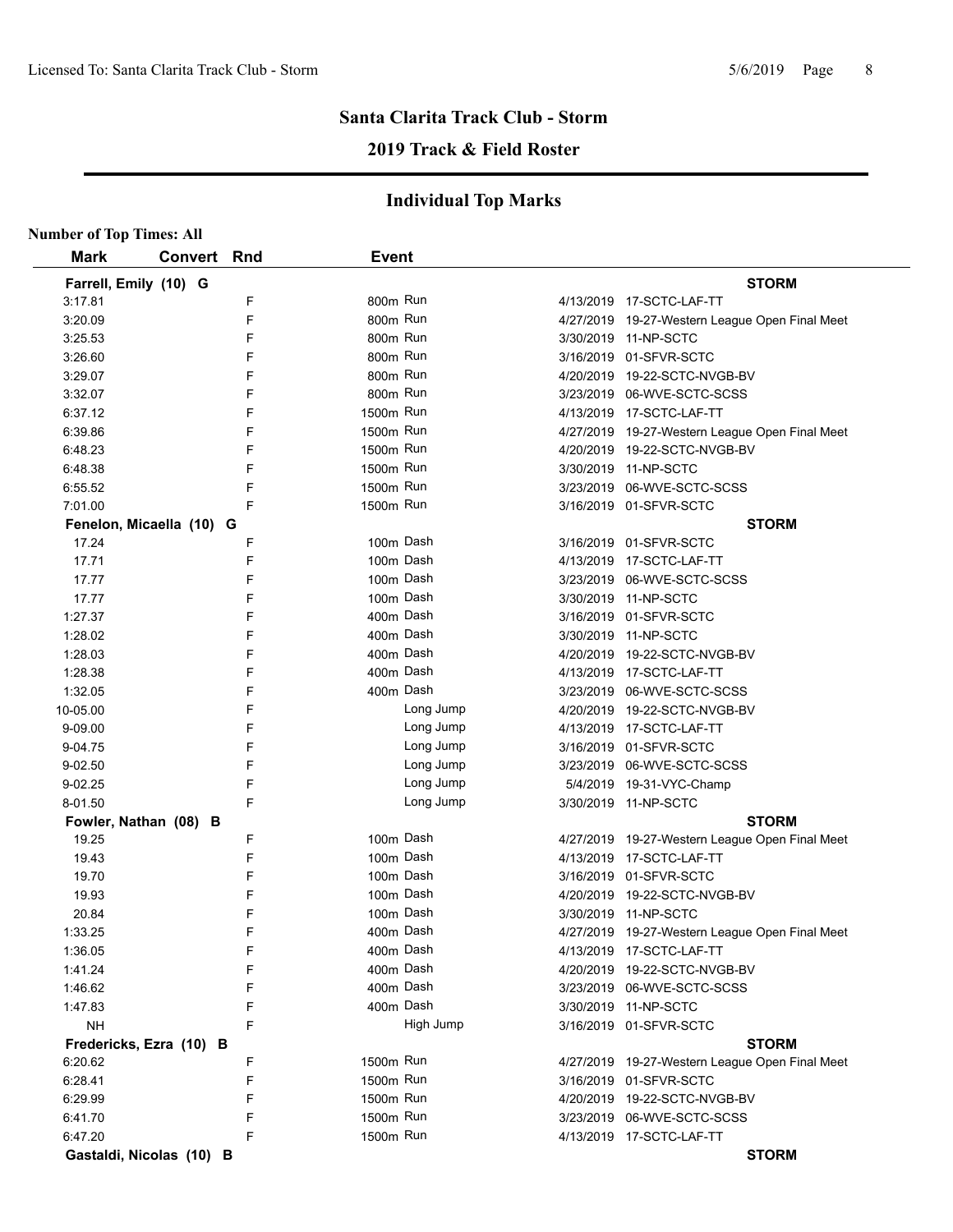# **2019 Track & Field Roster**

| <b>Number of Top Times: All</b> |         |     |              |           |                                                |
|---------------------------------|---------|-----|--------------|-----------|------------------------------------------------|
| <b>Mark</b>                     | Convert | Rnd | <b>Event</b> |           |                                                |
| Farrell, Emily (10) G           |         |     |              |           | <b>STORM</b>                                   |
| 3:17.81                         |         | F   | 800m Run     |           | 4/13/2019  17-SCTC-LAF-TT                      |
| 3:20.09                         |         | F   | 800m Run     |           | 4/27/2019 19-27-Western League Open Final Meet |
| 3:25.53                         |         | F   | 800m Run     |           | 3/30/2019 11-NP-SCTC                           |
| 3:26.60                         |         | F   | 800m Run     |           | 3/16/2019 01-SFVR-SCTC                         |
| 3:29.07                         |         | F   | 800m Run     |           | 4/20/2019 19-22-SCTC-NVGB-BV                   |
| 3:32.07                         |         | F   | 800m Run     |           | 3/23/2019 06-WVE-SCTC-SCSS                     |
| 6:37.12                         |         | F   | 1500m Run    |           | 4/13/2019 17-SCTC-LAF-TT                       |
| 6:39.86                         |         | F   | 1500m Run    |           | 4/27/2019 19-27-Western League Open Final Meet |
| 6:48.23                         |         | F   | 1500m Run    |           | 4/20/2019 19-22-SCTC-NVGB-BV                   |
| 6:48.38                         |         | F   | 1500m Run    |           | 3/30/2019 11-NP-SCTC                           |
| 6:55.52                         |         | F   | 1500m Run    |           | 3/23/2019 06-WVE-SCTC-SCSS                     |
| 7:01.00                         |         | F   | 1500m Run    |           | 3/16/2019 01-SFVR-SCTC                         |
| Fenelon, Micaella (10) G        |         |     |              |           | <b>STORM</b>                                   |
| 17.24                           |         | F   |              | 100m Dash | 3/16/2019 01-SFVR-SCTC                         |
| 17.71                           |         | F   |              | 100m Dash | 4/13/2019 17-SCTC-LAF-TT                       |
| 17.77                           |         | F   |              | 100m Dash | 3/23/2019 06-WVE-SCTC-SCSS                     |
| 17.77                           |         | F   |              | 100m Dash | 3/30/2019 11-NP-SCTC                           |
| 1:27.37                         |         | F   |              | 400m Dash | 3/16/2019 01-SFVR-SCTC                         |
| 1:28.02                         |         | F   |              | 400m Dash | 3/30/2019 11-NP-SCTC                           |
| 1:28.03                         |         | F   |              | 400m Dash | 4/20/2019 19-22-SCTC-NVGB-BV                   |
| 1:28.38                         |         | F   |              | 400m Dash | 4/13/2019 17-SCTC-LAF-TT                       |
| 1:32.05                         |         | F   |              | 400m Dash | 3/23/2019 06-WVE-SCTC-SCSS                     |
| 10-05.00                        |         | F   |              | Long Jump | 4/20/2019 19-22-SCTC-NVGB-BV                   |
| 9-09.00                         |         | F   |              | Long Jump | 4/13/2019 17-SCTC-LAF-TT                       |
| 9-04.75                         |         | F   |              | Long Jump | 3/16/2019 01-SFVR-SCTC                         |
| 9-02.50                         |         | F   |              | Long Jump | 3/23/2019 06-WVE-SCTC-SCSS                     |
| 9-02.25                         |         | F   |              | Long Jump | 5/4/2019 19-31-VYC-Champ                       |
| 8-01.50                         |         | F   |              | Long Jump | 3/30/2019 11-NP-SCTC                           |
| Fowler, Nathan (08) B           |         |     |              |           | <b>STORM</b>                                   |
| 19.25                           |         | F   |              | 100m Dash | 4/27/2019 19-27-Western League Open Final Meet |
| 19.43                           |         | F   |              | 100m Dash | 4/13/2019 17-SCTC-LAF-TT                       |
| 19.70                           |         | F   |              | 100m Dash | 3/16/2019 01-SFVR-SCTC                         |
| 19.93                           |         | F   |              | 100m Dash | 4/20/2019 19-22-SCTC-NVGB-BV                   |
| 20.84                           |         | F   |              | 100m Dash | 3/30/2019 11-NP-SCTC                           |
| 1:33.25                         |         | F   | 400m Dash    |           | 4/27/2019 19-27-Western League Open Final Meet |
| 1:36.05                         |         | F   |              | 400m Dash | 4/13/2019 17-SCTC-LAF-TT                       |
| 1.41.24                         |         | F   |              | 400m Dash | 4/20/2019 19-22-SCTC-NVGB-BV                   |
| 1:46.62                         |         | F   |              | 400m Dash | 3/23/2019 06-WVE-SCTC-SCSS                     |
| 1.47.83                         |         | F   |              | 400m Dash | 3/30/2019 11-NP-SCTC                           |
| <b>NH</b>                       |         | F   |              | High Jump | 3/16/2019 01-SFVR-SCTC                         |
| Fredericks, Ezra (10) B         |         |     |              |           | <b>STORM</b>                                   |
| 6:20.62                         |         | F   | 1500m Run    |           | 4/27/2019 19-27-Western League Open Final Meet |
| 6:28.41                         |         | F   | 1500m Run    |           | 3/16/2019 01-SFVR-SCTC                         |
| 6:29.99                         |         | F   | 1500m Run    |           | 4/20/2019 19-22-SCTC-NVGB-BV                   |
| 6:41.70                         |         | F   | 1500m Run    |           | 3/23/2019 06-WVE-SCTC-SCSS                     |
| 6:47.20                         |         | F   | 1500m Run    |           | 4/13/2019 17-SCTC-LAF-TT                       |
| Gastaldi, Nicolas (10) B        |         |     |              |           | <b>STORM</b>                                   |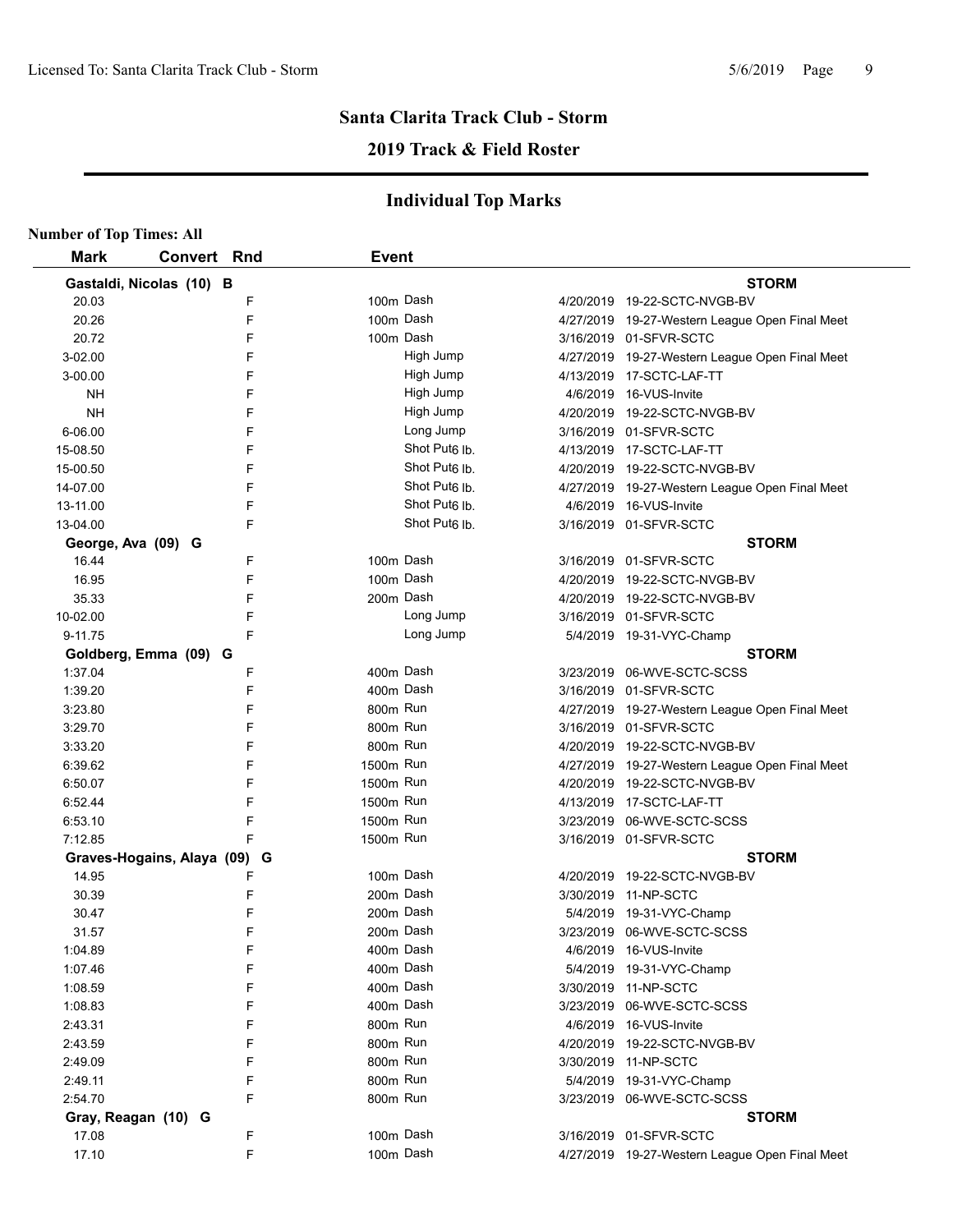# **2019 Track & Field Roster**

| <b>Number of Top Times: All</b> |                            |   |              |                           |                                                |
|---------------------------------|----------------------------|---|--------------|---------------------------|------------------------------------------------|
| <b>Mark</b>                     | Convert Rnd                |   | <b>Event</b> |                           |                                                |
|                                 | Gastaldi, Nicolas (10) B   |   |              |                           | <b>STORM</b>                                   |
| 20.03                           |                            | F |              | 100m Dash                 | 4/20/2019 19-22-SCTC-NVGB-BV                   |
| 20.26                           |                            | F |              | 100m Dash                 | 4/27/2019 19-27-Western League Open Final Meet |
| 20.72                           |                            | F |              | 100m Dash                 | 3/16/2019 01-SFVR-SCTC                         |
| 3-02.00                         |                            | F |              | High Jump                 | 4/27/2019 19-27-Western League Open Final Meet |
| 3-00.00                         |                            | F |              | High Jump                 | 4/13/2019 17-SCTC-LAF-TT                       |
| NΗ                              |                            | F |              | High Jump                 | 4/6/2019 16-VUS-Invite                         |
| <b>NH</b>                       |                            | F |              | High Jump                 | 4/20/2019 19-22-SCTC-NVGB-BV                   |
| 6-06.00                         |                            | F |              | Long Jump                 | 3/16/2019 01-SFVR-SCTC                         |
| 15-08.50                        |                            | F |              | Shot Put <sub>6</sub> Ib. | 4/13/2019 17-SCTC-LAF-TT                       |
| 15-00.50                        |                            | F |              | Shot Put <sub>6</sub> Ib. | 4/20/2019 19-22-SCTC-NVGB-BV                   |
| 14-07.00                        |                            | F |              | Shot Put <sub>6</sub> Ib. | 4/27/2019 19-27-Western League Open Final Meet |
| 13-11.00                        |                            | F |              | Shot Put <sub>6</sub> lb. | 4/6/2019 16-VUS-Invite                         |
| 13-04.00                        |                            | F |              | Shot Put <sub>6</sub> Ib. | 3/16/2019 01-SFVR-SCTC                         |
| George, Ava (09) G              |                            |   |              |                           | <b>STORM</b>                                   |
| 16.44                           |                            | F |              | 100m Dash                 | 3/16/2019 01-SFVR-SCTC                         |
| 16.95                           |                            | F |              | 100m Dash                 | 4/20/2019 19-22-SCTC-NVGB-BV                   |
| 35.33                           |                            | F |              | 200m Dash                 | 4/20/2019 19-22-SCTC-NVGB-BV                   |
| 10-02.00                        |                            | F |              | Long Jump                 | 3/16/2019 01-SFVR-SCTC                         |
| 9-11.75                         |                            | F |              | Long Jump                 | 5/4/2019 19-31-VYC-Champ                       |
|                                 | Goldberg, Emma (09) G      |   |              |                           | <b>STORM</b>                                   |
| 1:37.04                         |                            | F |              | 400m Dash                 | 3/23/2019 06-WVE-SCTC-SCSS                     |
| 1:39.20                         |                            | F |              | 400m Dash                 | 3/16/2019 01-SFVR-SCTC                         |
| 3:23.80                         |                            | F | 800m Run     |                           | 4/27/2019 19-27-Western League Open Final Meet |
| 3:29.70                         |                            | F | 800m Run     |                           | 3/16/2019 01-SFVR-SCTC                         |
| 3:33.20                         |                            | F | 800m Run     |                           | 4/20/2019 19-22-SCTC-NVGB-BV                   |
| 6:39.62                         |                            | F | 1500m Run    |                           | 4/27/2019 19-27-Western League Open Final Meet |
| 6:50.07                         |                            | F | 1500m Run    |                           | 4/20/2019 19-22-SCTC-NVGB-BV                   |
| 6:52.44                         |                            | F | 1500m Run    |                           | 4/13/2019 17-SCTC-LAF-TT                       |
| 6:53.10                         |                            | F | 1500m Run    |                           | 3/23/2019 06-WVE-SCTC-SCSS                     |
| 7:12.85                         |                            | F | 1500m Run    |                           | 3/16/2019 01-SFVR-SCTC                         |
|                                 | Graves-Hogains, Alaya (09) | G |              |                           | <b>STORM</b>                                   |
| 14.95                           |                            | F |              | 100m Dash                 | 4/20/2019 19-22-SCTC-NVGB-BV                   |
| 30.39                           |                            | F |              | 200m Dash                 | 3/30/2019 11-NP-SCTC                           |
| 30.47                           |                            | F |              | 200m Dash                 | 5/4/2019 19-31-VYC-Champ                       |
| 31.57                           |                            | F |              | 200m Dash                 | 3/23/2019 06-WVE-SCTC-SCSS                     |
| 1:04.89                         |                            | F |              | 400m Dash                 | 4/6/2019 16-VUS-Invite                         |
| 1:07.46                         |                            | F |              | 400m Dash                 | 5/4/2019 19-31-VYC-Champ                       |
| 1:08.59                         |                            | F |              | 400m Dash                 | 3/30/2019 11-NP-SCTC                           |
| 1:08.83                         |                            | F |              | 400m Dash                 | 3/23/2019 06-WVE-SCTC-SCSS                     |
| 2:43.31                         |                            | F | 800m Run     |                           | 4/6/2019 16-VUS-Invite                         |
| 2:43.59                         |                            | F | 800m Run     |                           | 4/20/2019 19-22-SCTC-NVGB-BV                   |
| 2:49.09                         |                            | F | 800m Run     |                           | 3/30/2019 11-NP-SCTC                           |
| 2:49.11                         |                            | F | 800m Run     |                           | 5/4/2019 19-31-VYC-Champ                       |
| 2:54.70                         |                            | F | 800m Run     |                           | 3/23/2019 06-WVE-SCTC-SCSS                     |
| Gray, Reagan (10) G             |                            |   |              |                           | <b>STORM</b>                                   |
| 17.08                           |                            | F |              | 100m Dash                 | 3/16/2019 01-SFVR-SCTC                         |
| 17.10                           |                            | F |              | 100m Dash                 | 4/27/2019 19-27-Western League Open Final Meet |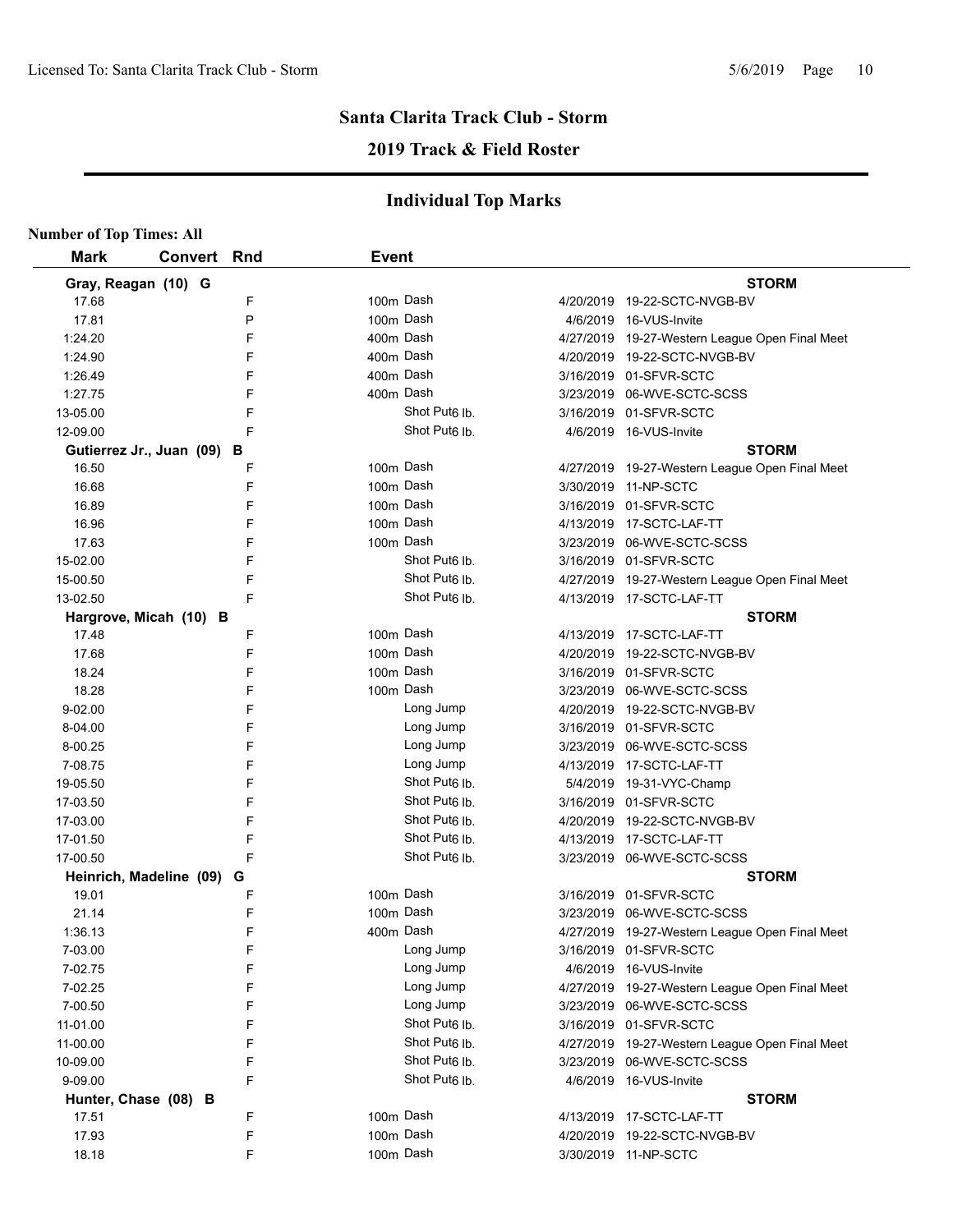# **2019 Track & Field Roster**

| <b>Number of Top Times: All</b> |                            |   |              |                           |                                                |
|---------------------------------|----------------------------|---|--------------|---------------------------|------------------------------------------------|
| <b>Mark</b>                     | <b>Convert Rnd</b>         |   | <b>Event</b> |                           |                                                |
|                                 | Gray, Reagan (10) G        |   |              |                           | <b>STORM</b>                                   |
| 17.68                           |                            | F |              | 100m Dash                 | 4/20/2019 19-22-SCTC-NVGB-BV                   |
| 17.81                           |                            | P | 100m Dash    |                           | 4/6/2019 16-VUS-Invite                         |
| 1:24.20                         |                            | F | 400m Dash    |                           | 4/27/2019 19-27-Western League Open Final Meet |
| 1:24.90                         |                            | F | 400m Dash    |                           | 4/20/2019 19-22-SCTC-NVGB-BV                   |
| 1:26.49                         |                            | F |              | 400m Dash                 | 3/16/2019 01-SFVR-SCTC                         |
| 1:27.75                         |                            | F |              | 400m Dash                 | 3/23/2019 06-WVE-SCTC-SCSS                     |
| 13-05.00                        |                            | F |              | Shot Put <sub>6</sub> lb. | 3/16/2019 01-SFVR-SCTC                         |
| 12-09.00                        |                            | F |              | Shot Put <sub>6</sub> lb. | 4/6/2019 16-VUS-Invite                         |
|                                 | Gutierrez Jr., Juan (09) B |   |              |                           | <b>STORM</b>                                   |
| 16.50                           |                            | F |              | 100m Dash                 | 4/27/2019 19-27-Western League Open Final Meet |
| 16.68                           |                            | F | 100m Dash    |                           | 3/30/2019 11-NP-SCTC                           |
| 16.89                           |                            | F | 100m Dash    |                           | 3/16/2019 01-SFVR-SCTC                         |
| 16.96                           |                            | F |              | 100m Dash                 | 4/13/2019 17-SCTC-LAF-TT                       |
| 17.63                           |                            | F | 100m Dash    |                           | 3/23/2019 06-WVE-SCTC-SCSS                     |
| 15-02.00                        |                            | F |              | Shot Put <sub>6</sub> lb. | 3/16/2019 01-SFVR-SCTC                         |
| 15-00.50                        |                            | F |              | Shot Put <sub>6</sub> lb. | 4/27/2019 19-27-Western League Open Final Meet |
| 13-02.50                        |                            | F |              | Shot Put <sub>6</sub> lb. | 4/13/2019 17-SCTC-LAF-TT                       |
|                                 | Hargrove, Micah (10) B     |   |              |                           | <b>STORM</b>                                   |
| 17.48                           |                            | F | 100m Dash    |                           | 4/13/2019 17-SCTC-LAF-TT                       |
| 17.68                           |                            | F | 100m Dash    |                           | 4/20/2019 19-22-SCTC-NVGB-BV                   |
| 18.24                           |                            | F |              | 100m Dash                 | 3/16/2019 01-SFVR-SCTC                         |
| 18.28                           |                            | F |              | 100m Dash                 | 3/23/2019 06-WVE-SCTC-SCSS                     |
| 9-02.00                         |                            | F |              | Long Jump                 | 4/20/2019 19-22-SCTC-NVGB-BV                   |
| 8-04.00                         |                            | F |              | Long Jump                 | 3/16/2019 01-SFVR-SCTC                         |
| 8-00.25                         |                            | F |              | Long Jump                 | 3/23/2019 06-WVE-SCTC-SCSS                     |
| 7-08.75                         |                            | F |              | Long Jump                 | 4/13/2019 17-SCTC-LAF-TT                       |
| 19-05.50                        |                            | F |              | Shot Put <sub>6</sub> lb. | 5/4/2019 19-31-VYC-Champ                       |
| 17-03.50                        |                            | F |              | Shot Put <sub>6</sub> lb. | 3/16/2019 01-SFVR-SCTC                         |
| 17-03.00                        |                            | F |              | Shot Put <sub>6</sub> lb. | 4/20/2019 19-22-SCTC-NVGB-BV                   |
| 17-01.50                        |                            | F |              | Shot Put <sub>6</sub> lb. | 4/13/2019 17-SCTC-LAF-TT                       |
| 17-00.50                        |                            | F |              | Shot Put <sub>6</sub> lb. | 3/23/2019 06-WVE-SCTC-SCSS                     |
|                                 | Heinrich, Madeline (09) G  |   |              |                           | <b>STORM</b>                                   |
| 19.01                           |                            | F | 100m Dash    |                           | 3/16/2019 01-SFVR-SCTC                         |
| 21.14                           |                            | F |              | 100m Dash                 | 3/23/2019 06-WVE-SCTC-SCSS                     |
| 1:36.13                         |                            | F | 400m Dash    |                           | 4/27/2019 19-27-Western League Open Final Meet |
| 7-03.00                         |                            | F |              | Long Jump                 | 3/16/2019 01-SFVR-SCTC                         |
| 7-02.75                         |                            | F |              | Long Jump                 | 4/6/2019 16-VUS-Invite                         |
| 7-02.25                         |                            | F |              | Long Jump                 | 4/27/2019 19-27-Western League Open Final Meet |
| 7-00.50                         |                            | F |              | Long Jump                 | 3/23/2019 06-WVE-SCTC-SCSS                     |
| 11-01.00                        |                            | F |              | Shot Put <sub>6</sub> lb. | 3/16/2019 01-SFVR-SCTC                         |
| 11-00.00                        |                            | F |              | Shot Put <sub>6</sub> lb. | 4/27/2019 19-27-Western League Open Final Meet |
| 10-09.00                        |                            | F |              | Shot Put6 lb.             | 3/23/2019 06-WVE-SCTC-SCSS                     |
| 9-09.00                         |                            | F |              | Shot Put <sub>6</sub> lb. | 4/6/2019 16-VUS-Invite                         |
|                                 | Hunter, Chase (08) B       |   |              |                           | <b>STORM</b>                                   |
| 17.51                           |                            | F |              | 100m Dash                 | 4/13/2019 17-SCTC-LAF-TT                       |
| 17.93                           |                            | F |              | 100m Dash                 | 4/20/2019 19-22-SCTC-NVGB-BV                   |
| 18.18                           |                            | F |              | 100m Dash                 | 3/30/2019 11-NP-SCTC                           |
|                                 |                            |   |              |                           |                                                |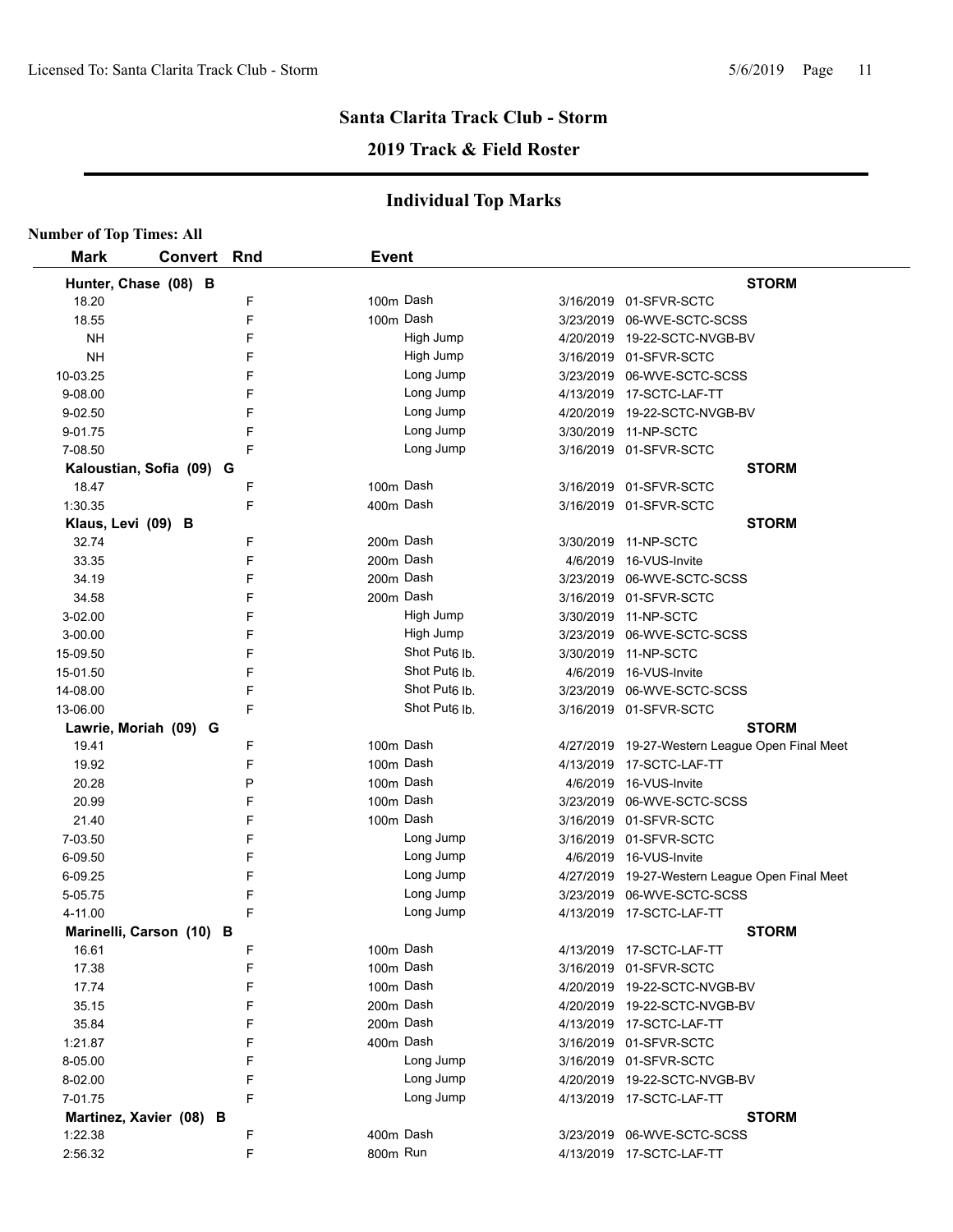# **2019 Track & Field Roster**

| <b>Number of Top Times: All</b> |                          |   |              |                           |                                                |
|---------------------------------|--------------------------|---|--------------|---------------------------|------------------------------------------------|
| <b>Mark</b>                     | Convert Rnd              |   | <b>Event</b> |                           |                                                |
|                                 | Hunter, Chase (08) B     |   |              |                           | <b>STORM</b>                                   |
| 18.20                           |                          | F |              | 100m Dash                 | 3/16/2019 01-SFVR-SCTC                         |
| 18.55                           |                          | F |              | 100m Dash                 | 3/23/2019 06-WVE-SCTC-SCSS                     |
| <b>NH</b>                       |                          | F |              | High Jump                 | 4/20/2019 19-22-SCTC-NVGB-BV                   |
| <b>NH</b>                       |                          | F |              | High Jump                 | 3/16/2019 01-SFVR-SCTC                         |
| 10-03.25                        |                          | F |              | Long Jump                 | 3/23/2019 06-WVE-SCTC-SCSS                     |
| 9-08.00                         |                          | F |              | Long Jump                 | 4/13/2019 17-SCTC-LAF-TT                       |
| $9 - 02.50$                     |                          | F |              | Long Jump                 | 4/20/2019 19-22-SCTC-NVGB-BV                   |
| 9-01.75                         |                          | F |              | Long Jump                 | 3/30/2019 11-NP-SCTC                           |
| 7-08.50                         |                          | F |              | Long Jump                 | 3/16/2019 01-SFVR-SCTC                         |
|                                 | Kaloustian, Sofia (09) G |   |              |                           | <b>STORM</b>                                   |
| 18.47                           |                          | F |              | 100m Dash                 | 3/16/2019 01-SFVR-SCTC                         |
| 1:30.35                         |                          | F |              | 400m Dash                 | 3/16/2019 01-SFVR-SCTC                         |
| Klaus, Levi (09) B              |                          |   |              |                           | <b>STORM</b>                                   |
| 32.74                           |                          | F |              | 200m Dash                 | 3/30/2019 11-NP-SCTC                           |
| 33.35                           |                          | F |              | 200m Dash                 | 4/6/2019 16-VUS-Invite                         |
| 34.19                           |                          | F |              | 200m Dash                 | 3/23/2019 06-WVE-SCTC-SCSS                     |
| 34.58                           |                          | F |              | 200m Dash                 | 3/16/2019 01-SFVR-SCTC                         |
| 3-02.00                         |                          | F |              | High Jump                 | 3/30/2019 11-NP-SCTC                           |
| 3-00.00                         |                          | F |              | High Jump                 | 3/23/2019 06-WVE-SCTC-SCSS                     |
| 15-09.50                        |                          | F |              | Shot Put6 lb.             | 3/30/2019 11-NP-SCTC                           |
| 15-01.50                        |                          | F |              | Shot Put6 lb.             | 4/6/2019 16-VUS-Invite                         |
| 14-08.00                        |                          | F |              | Shot Put <sub>6</sub> lb. | 3/23/2019 06-WVE-SCTC-SCSS                     |
| 13-06.00                        |                          | F |              | Shot Put <sub>6</sub> lb. | 3/16/2019 01-SFVR-SCTC                         |
|                                 | Lawrie, Moriah (09) G    |   |              |                           | <b>STORM</b>                                   |
| 19.41                           |                          | F |              | 100m Dash                 | 4/27/2019 19-27-Western League Open Final Meet |
| 19.92                           |                          | F |              | 100m Dash                 | 4/13/2019 17-SCTC-LAF-TT                       |
| 20.28                           |                          | P |              | 100m Dash                 | 4/6/2019 16-VUS-Invite                         |
| 20.99                           |                          | F |              | 100m Dash                 | 3/23/2019 06-WVE-SCTC-SCSS                     |
| 21.40                           |                          | F |              | 100m Dash                 | 3/16/2019 01-SFVR-SCTC                         |
| 7-03.50                         |                          | F |              | Long Jump                 | 3/16/2019 01-SFVR-SCTC                         |
| 6-09.50                         |                          | F |              | Long Jump                 | 4/6/2019 16-VUS-Invite                         |
| 6-09.25                         |                          | F |              | Long Jump                 | 4/27/2019 19-27-Western League Open Final Meet |
| 5-05.75                         |                          | F |              | Long Jump                 | 3/23/2019 06-WVE-SCTC-SCSS                     |
| 4-11.00                         |                          | F |              | Long Jump                 | 4/13/2019 17-SCTC-LAF-TT                       |
|                                 | Marinelli, Carson (10) B |   |              |                           | <b>STORM</b>                                   |
| 16.61                           |                          | F |              | 100m Dash                 | 4/13/2019 17-SCTC-LAF-TT                       |
| 17.38                           |                          | F |              | 100m Dash                 | 3/16/2019 01-SFVR-SCTC                         |
| 17.74                           |                          | F |              | 100m Dash                 | 4/20/2019 19-22-SCTC-NVGB-BV                   |
| 35.15                           |                          | F |              | 200m Dash                 | 4/20/2019 19-22-SCTC-NVGB-BV                   |
| 35.84                           |                          | F |              | 200m Dash                 | 4/13/2019 17-SCTC-LAF-TT                       |
| 1:21.87                         |                          | F |              | 400m Dash                 | 3/16/2019 01-SFVR-SCTC                         |
| 8-05.00                         |                          | F |              | Long Jump                 | 3/16/2019 01-SFVR-SCTC                         |
| 8-02.00                         |                          | F |              | Long Jump                 | 4/20/2019 19-22-SCTC-NVGB-BV                   |
| 7-01.75                         |                          | F |              | Long Jump                 | 4/13/2019 17-SCTC-LAF-TT                       |
|                                 | Martinez, Xavier (08) B  |   |              |                           | <b>STORM</b>                                   |
| 1:22.38                         |                          | F |              | 400m Dash                 | 3/23/2019 06-WVE-SCTC-SCSS                     |
| 2:56.32                         |                          | F | 800m Run     |                           | 4/13/2019 17-SCTC-LAF-TT                       |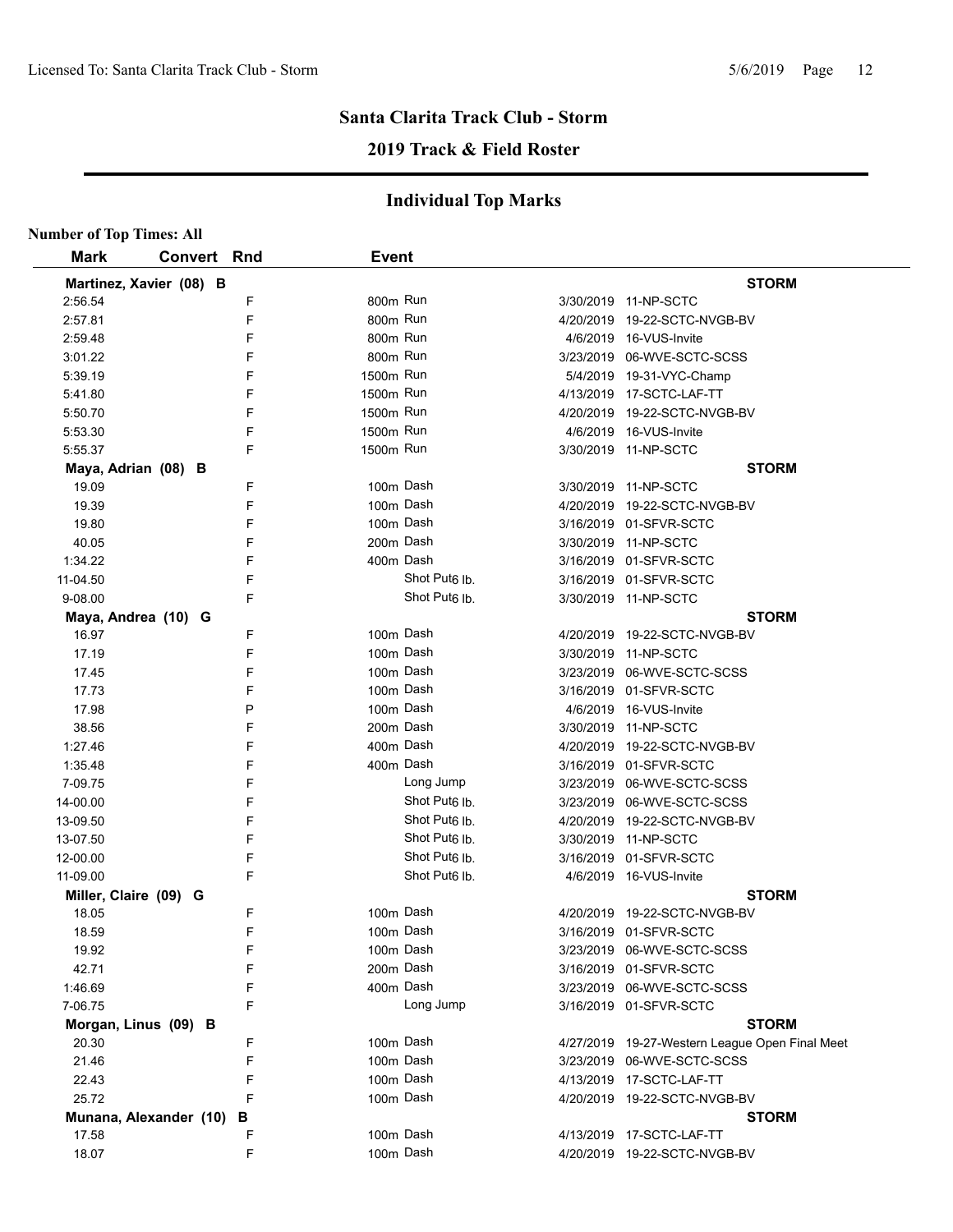# **2019 Track & Field Roster**

| <b>Number of Top Times: All</b> |                         |   |              |                           |                                                |
|---------------------------------|-------------------------|---|--------------|---------------------------|------------------------------------------------|
| <b>Mark</b>                     | <b>Convert Rnd</b>      |   | <b>Event</b> |                           |                                                |
|                                 | Martinez, Xavier (08) B |   |              |                           | <b>STORM</b>                                   |
| 2:56.54                         |                         | F | 800m Run     |                           | 3/30/2019 11-NP-SCTC                           |
| 2:57.81                         |                         | F | 800m Run     |                           | 4/20/2019 19-22-SCTC-NVGB-BV                   |
| 2.59.48                         |                         | F | 800m Run     |                           | 4/6/2019 16-VUS-Invite                         |
| 3:01.22                         |                         | F | 800m Run     |                           |                                                |
| 5:39.19                         |                         | F | 1500m Run    |                           | 5/4/2019 19-31-VYC-Champ                       |
| 5.41.80                         |                         | F | 1500m Run    |                           | 4/13/2019 17-SCTC-LAF-TT                       |
| 5.50.70                         |                         | F | 1500m Run    |                           | 4/20/2019 19-22-SCTC-NVGB-BV                   |
| 5.53.30                         |                         | F | 1500m Run    |                           | 4/6/2019 16-VUS-Invite                         |
| 5:55.37                         |                         | F | 1500m Run    |                           | 3/30/2019 11-NP-SCTC                           |
| Maya, Adrian (08) B             |                         |   |              |                           | <b>STORM</b>                                   |
| 19.09                           |                         | F |              | 100m Dash                 | 3/30/2019 11-NP-SCTC                           |
| 19.39                           |                         | F |              | 100m Dash                 | 4/20/2019 19-22-SCTC-NVGB-BV                   |
| 19.80                           |                         | F |              | 100m Dash                 |                                                |
| 40.05                           |                         | F |              | 200m Dash                 | 3/30/2019 11-NP-SCTC                           |
| 1:34.22                         |                         | F |              | 400m Dash                 | 3/16/2019  01-SFVR-SCTC                        |
| 11-04.50                        |                         | F |              | Shot Put <sub>6</sub> lb. |                                                |
| 9-08.00                         |                         | F |              | Shot Put <sub>6</sub> lb. | 3/30/2019 11-NP-SCTC                           |
|                                 | Maya, Andrea (10) G     |   |              |                           | <b>STORM</b>                                   |
| 16.97                           |                         | F |              | 100m Dash                 | 4/20/2019 19-22-SCTC-NVGB-BV                   |
| 17.19                           |                         | F |              | 100m Dash                 | 3/30/2019 11-NP-SCTC                           |
| 17.45                           |                         | F |              | 100m Dash                 | 3/23/2019 06-WVE-SCTC-SCSS                     |
| 17.73                           |                         | F |              | 100m Dash                 | 3/16/2019 01-SFVR-SCTC                         |
| 17.98                           |                         | P |              | 100m Dash                 | 4/6/2019 16-VUS-Invite                         |
| 38.56                           |                         | F |              | 200m Dash                 | 3/30/2019 11-NP-SCTC                           |
| 1:27.46                         |                         | F |              | 400m Dash                 | 4/20/2019 19-22-SCTC-NVGB-BV                   |
| 1:35.48                         |                         | F |              | 400m Dash                 | 3/16/2019 01-SFVR-SCTC                         |
| 7-09.75                         |                         | F |              | Long Jump                 | 3/23/2019 06-WVE-SCTC-SCSS                     |
| 14-00.00                        |                         | F |              | Shot Put <sub>6</sub> lb. | 3/23/2019 06-WVE-SCTC-SCSS                     |
| 13-09.50                        |                         | F |              | Shot Put <sub>6</sub> lb. | 4/20/2019 19-22-SCTC-NVGB-BV                   |
| 13-07.50                        |                         | F |              | Shot Put <sub>6</sub> lb. | 3/30/2019 11-NP-SCTC                           |
| 12-00.00                        |                         | F |              | Shot Put <sub>6</sub> lb. | 3/16/2019 01-SFVR-SCTC                         |
| 11-09.00                        |                         | F |              | Shot Put <sub>6</sub> lb. | 4/6/2019 16-VUS-Invite                         |
| Miller, Claire (09) G           |                         |   |              |                           | <b>STORM</b>                                   |
| 18.05                           |                         | F |              | 100m Dash                 | 4/20/2019 19-22-SCTC-NVGB-BV                   |
| 18.59                           |                         | F |              | 100m Dash                 |                                                |
| 19.92                           |                         | F |              | 100m Dash                 | 3/23/2019 06-WVE-SCTC-SCSS                     |
| 42.71                           |                         | F |              | 200m Dash                 | 3/16/2019 01-SFVR-SCTC                         |
| 1.46.69                         |                         | F |              | 400m Dash                 | 3/23/2019 06-WVE-SCTC-SCSS                     |
| 7-06.75                         |                         | F |              | Long Jump                 | 3/16/2019 01-SFVR-SCTC                         |
|                                 | Morgan, Linus (09) B    |   |              |                           | <b>STORM</b>                                   |
| 20.30                           |                         | F |              | 100m Dash                 | 4/27/2019 19-27-Western League Open Final Meet |
| 21.46                           |                         | F |              | 100m Dash                 | 3/23/2019 06-WVE-SCTC-SCSS                     |
| 22.43                           |                         | F |              | 100m Dash                 | 4/13/2019 17-SCTC-LAF-TT                       |
| 25.72                           |                         | F |              | 100m Dash                 | 4/20/2019 19-22-SCTC-NVGB-BV                   |
|                                 | Munana, Alexander (10)  | В |              |                           | <b>STORM</b>                                   |
| 17.58                           |                         | F |              | 100m Dash                 | 4/13/2019 17-SCTC-LAF-TT                       |
| 18.07                           |                         | F |              | 100m Dash                 | 4/20/2019 19-22-SCTC-NVGB-BV                   |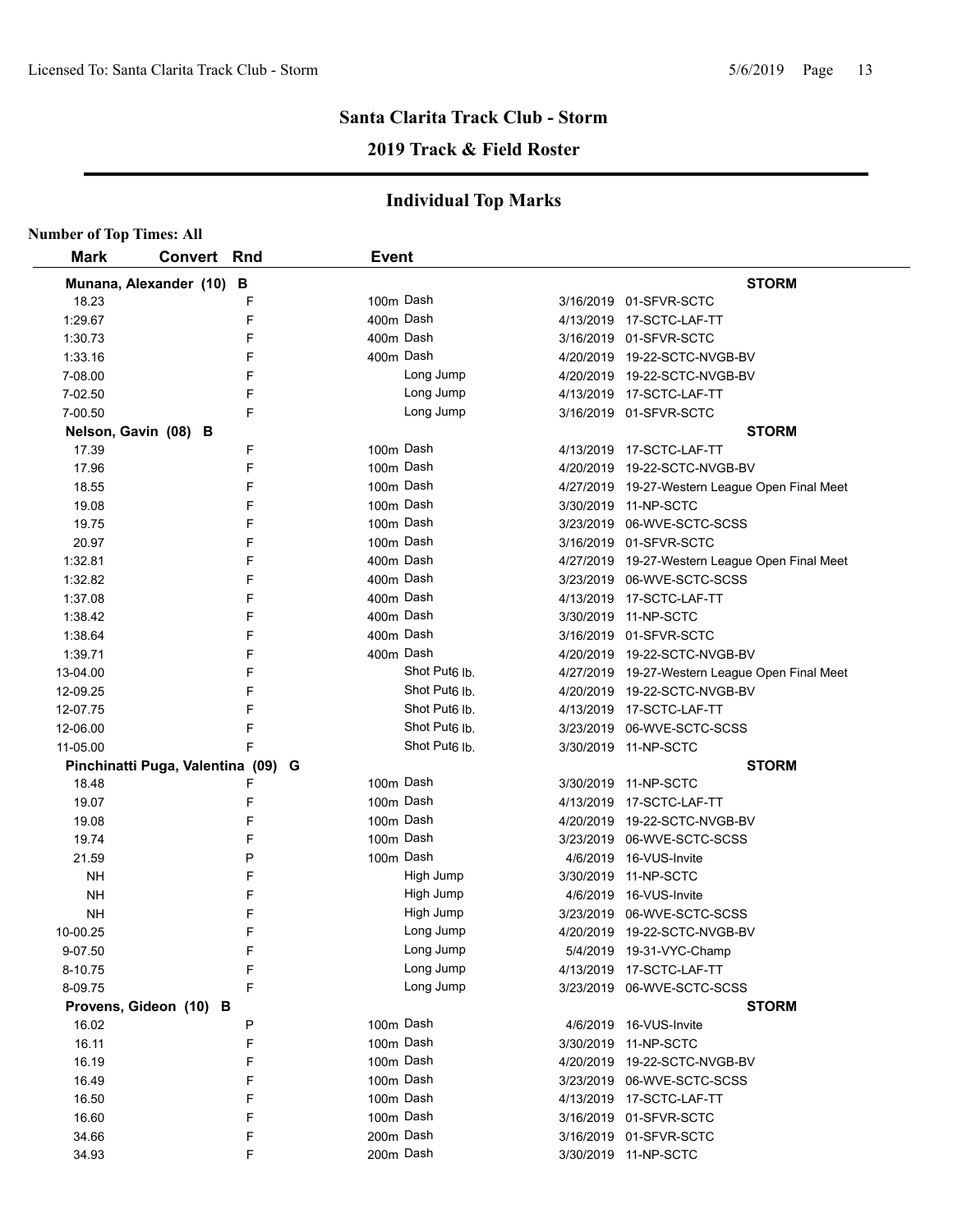# **2019 Track & Field Roster**

| <b>Number of Top Times: All</b> |                                    |              |                           |                                                |
|---------------------------------|------------------------------------|--------------|---------------------------|------------------------------------------------|
| <b>Mark</b>                     | <b>Convert Rnd</b>                 | <b>Event</b> |                           |                                                |
|                                 | Munana, Alexander (10) B           |              |                           | <b>STORM</b>                                   |
| 18.23                           | F                                  | 100m Dash    |                           | 3/16/2019 01-SFVR-SCTC                         |
| 1:29.67                         | F                                  | 400m Dash    |                           | 4/13/2019 17-SCTC-LAF-TT                       |
| 1:30.73                         | F                                  | 400m Dash    |                           | 3/16/2019 01-SFVR-SCTC                         |
| 1:33.16                         | F                                  | 400m Dash    |                           | 4/20/2019  19-22-SCTC-NVGB-BV                  |
| 7-08.00                         | F                                  |              | Long Jump                 | 4/20/2019 19-22-SCTC-NVGB-BV                   |
| 7-02.50                         | F                                  |              | Long Jump                 | 4/13/2019 17-SCTC-LAF-TT                       |
| 7-00.50                         | F                                  |              | Long Jump                 | 3/16/2019 01-SFVR-SCTC                         |
|                                 | Nelson, Gavin (08) B               |              |                           | <b>STORM</b>                                   |
| 17.39                           | F                                  | 100m Dash    |                           | 4/13/2019 17-SCTC-LAF-TT                       |
| 17.96                           | F                                  | 100m Dash    |                           | 4/20/2019 19-22-SCTC-NVGB-BV                   |
| 18.55                           | F                                  | 100m Dash    |                           | 4/27/2019 19-27-Western League Open Final Meet |
| 19.08                           | F                                  | 100m Dash    |                           | 3/30/2019 11-NP-SCTC                           |
| 19.75                           | F                                  | 100m Dash    |                           | 3/23/2019 06-WVE-SCTC-SCSS                     |
| 20.97                           | F                                  | 100m Dash    |                           | 3/16/2019 01-SFVR-SCTC                         |
| 1:32.81                         | F                                  | 400m Dash    |                           | 4/27/2019 19-27-Western League Open Final Meet |
| 1:32.82                         | F                                  | 400m Dash    |                           | 3/23/2019 06-WVE-SCTC-SCSS                     |
| 1:37.08                         | F                                  | 400m Dash    |                           | 4/13/2019 17-SCTC-LAF-TT                       |
| 1:38.42                         | F                                  | 400m Dash    |                           | 3/30/2019 11-NP-SCTC                           |
| 1:38.64                         | F                                  | 400m Dash    |                           | 3/16/2019 01-SFVR-SCTC                         |
| 1:39.71                         | F                                  | 400m Dash    |                           | 4/20/2019 19-22-SCTC-NVGB-BV                   |
| 13-04.00                        | F                                  |              | Shot Put <sub>6</sub> lb. | 4/27/2019 19-27-Western League Open Final Meet |
| 12-09.25                        | F                                  |              | Shot Put <sub>6</sub> lb. | 4/20/2019 19-22-SCTC-NVGB-BV                   |
| 12-07.75                        | F                                  |              | Shot Put <sub>6</sub> lb. | 4/13/2019 17-SCTC-LAF-TT                       |
| 12-06.00                        | F                                  |              | Shot Put <sub>6</sub> lb. | 3/23/2019 06-WVE-SCTC-SCSS                     |
| 11-05.00                        | F                                  |              | Shot Put <sub>6</sub> lb. | 3/30/2019 11-NP-SCTC                           |
|                                 | Pinchinatti Puga, Valentina (09) G |              |                           | <b>STORM</b>                                   |
| 18.48                           | F                                  | 100m Dash    |                           | 3/30/2019 11-NP-SCTC                           |
| 19.07                           | F                                  | 100m Dash    |                           | 4/13/2019 17-SCTC-LAF-TT                       |
| 19.08                           | F                                  | 100m Dash    |                           | 4/20/2019 19-22-SCTC-NVGB-BV                   |
| 19.74                           | F                                  | 100m Dash    |                           | 3/23/2019 06-WVE-SCTC-SCSS                     |
| 21.59                           | P                                  | 100m Dash    |                           | 4/6/2019 16-VUS-Invite                         |
| NΗ                              | F                                  |              | High Jump                 | 3/30/2019 11-NP-SCTC                           |
| <b>NH</b>                       | F                                  |              | High Jump                 | 4/6/2019 16-VUS-Invite                         |
| NΗ                              | E                                  |              | High Jump                 | 3/23/2019 06-WVE-SCTC-SCSS                     |
| 10-00.25                        | F                                  |              | Long Jump                 | 4/20/2019 19-22-SCTC-NVGB-BV                   |
| 9-07.50                         | F                                  |              | Long Jump                 | 5/4/2019 19-31-VYC-Champ                       |
| 8-10.75                         | F                                  |              | Long Jump                 | 4/13/2019 17-SCTC-LAF-TT                       |
| 8-09.75                         | F                                  |              | Long Jump                 | 3/23/2019 06-WVE-SCTC-SCSS                     |
|                                 | Provens, Gideon (10) B             |              |                           | <b>STORM</b>                                   |
| 16.02                           | P                                  | 100m Dash    |                           | 4/6/2019 16-VUS-Invite                         |
| 16.11                           | F                                  | 100m Dash    |                           | 3/30/2019 11-NP-SCTC                           |
| 16.19                           | F                                  | 100m Dash    |                           | 4/20/2019 19-22-SCTC-NVGB-BV                   |
| 16.49                           | F                                  | 100m Dash    |                           | 3/23/2019 06-WVE-SCTC-SCSS                     |
| 16.50                           | F                                  | 100m Dash    |                           | 4/13/2019 17-SCTC-LAF-TT                       |
| 16.60                           | F                                  | 100m Dash    |                           | 3/16/2019 01-SFVR-SCTC                         |
| 34.66                           | F                                  | 200m Dash    |                           | 3/16/2019 01-SFVR-SCTC                         |
| 34.93                           | F                                  | 200m Dash    |                           | 3/30/2019 11-NP-SCTC                           |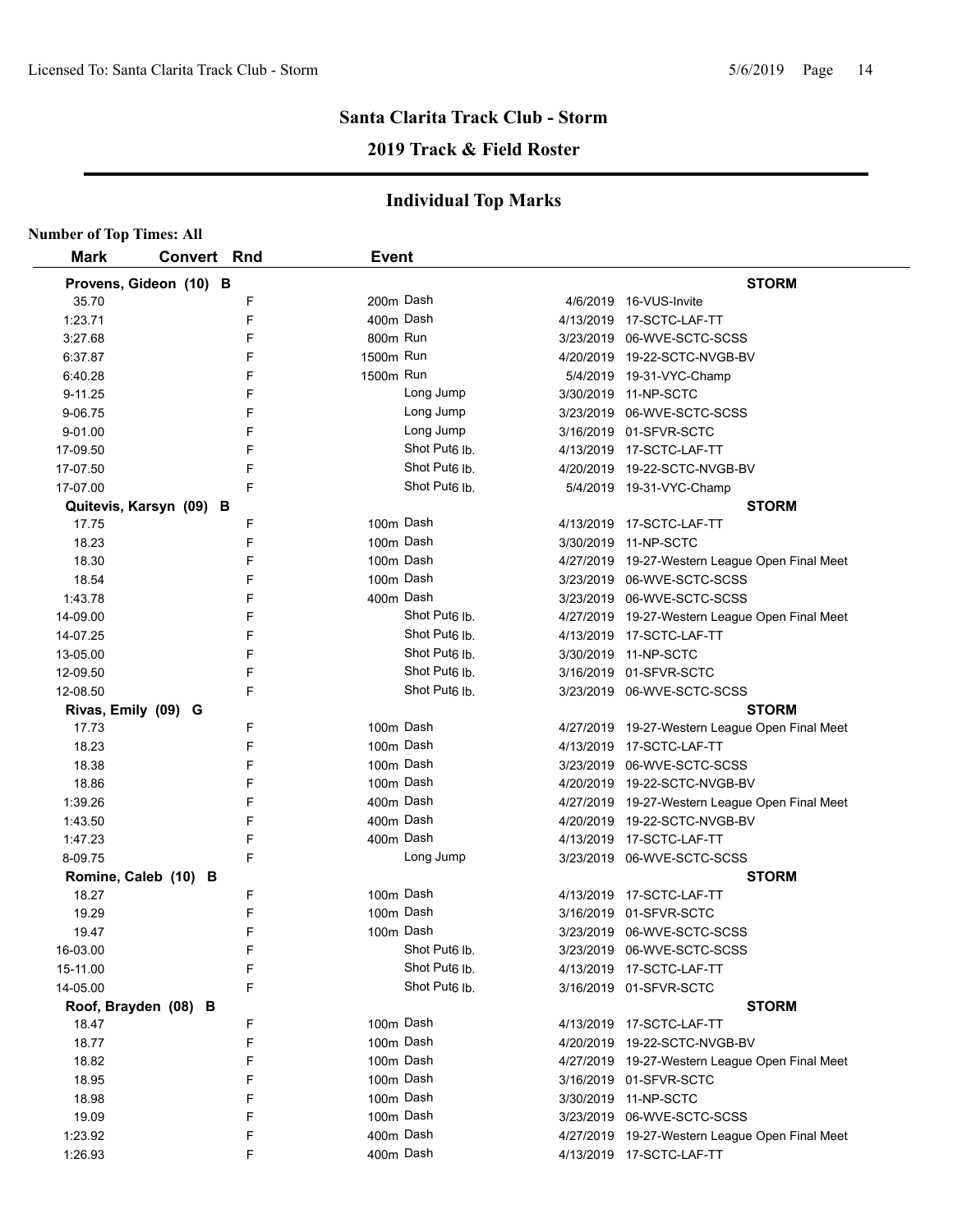# **Santa Clarita Track Club - Storm 2019 Track & Field Roster**

| <b>Number of Top Times: All</b> |                         |   |              |                           |                                                |
|---------------------------------|-------------------------|---|--------------|---------------------------|------------------------------------------------|
| <b>Mark</b>                     | Convert Rnd             |   | <b>Event</b> |                           |                                                |
|                                 | Provens, Gideon (10) B  |   |              |                           | <b>STORM</b>                                   |
| 35.70                           |                         | F | 200m Dash    |                           | 4/6/2019 16-VUS-Invite                         |
| 1:23.71                         |                         | F | 400m Dash    |                           | 4/13/2019 17-SCTC-LAF-TT                       |
| 3:27.68                         |                         | F | 800m Run     |                           | 3/23/2019 06-WVE-SCTC-SCSS                     |
| 6:37.87                         |                         | F | 1500m Run    |                           | 4/20/2019 19-22-SCTC-NVGB-BV                   |
| 6:40.28                         |                         | F | 1500m Run    |                           | 5/4/2019 19-31-VYC-Champ                       |
| 9-11.25                         |                         | F |              | Long Jump                 | 3/30/2019 11-NP-SCTC                           |
| 9-06.75                         |                         | F |              | Long Jump                 | 3/23/2019 06-WVE-SCTC-SCSS                     |
| 9-01.00                         |                         | F |              | Long Jump                 | 3/16/2019 01-SFVR-SCTC                         |
| 17-09.50                        |                         | F |              | Shot Put <sub>6</sub> Ib. | 4/13/2019 17-SCTC-LAF-TT                       |
| 17-07.50                        |                         | F |              | Shot Put <sub>6</sub> Ib. | 4/20/2019 19-22-SCTC-NVGB-BV                   |
| 17-07.00                        |                         | F |              | Shot Put <sub>6</sub> Ib. | 5/4/2019 19-31-VYC-Champ                       |
|                                 | Quitevis, Karsyn (09) B |   |              |                           | <b>STORM</b>                                   |
| 17.75                           |                         | F | 100m Dash    |                           | 4/13/2019 17-SCTC-LAF-TT                       |
| 18.23                           |                         | F | 100m Dash    |                           | 3/30/2019 11-NP-SCTC                           |
| 18.30                           |                         | F | 100m Dash    |                           | 4/27/2019 19-27-Western League Open Final Meet |
| 18.54                           |                         | F | 100m Dash    |                           | 3/23/2019 06-WVE-SCTC-SCSS                     |
| 1:43.78                         |                         | F | 400m Dash    |                           | 3/23/2019 06-WVE-SCTC-SCSS                     |
| 14-09.00                        |                         | F |              | Shot Put <sub>6</sub> lb. | 4/27/2019 19-27-Western League Open Final Meet |
| 14-07.25                        |                         | F |              | Shot Put <sub>6</sub> lb. | 4/13/2019 17-SCTC-LAF-TT                       |
| 13-05.00                        |                         | F |              | Shot Put <sub>6</sub> lb. | 3/30/2019 11-NP-SCTC                           |
| 12-09.50                        |                         | F |              | Shot Put <sub>6</sub> lb. | 3/16/2019 01-SFVR-SCTC                         |
| 12-08.50                        |                         | F |              | Shot Put <sub>6</sub> lb. | 3/23/2019 06-WVE-SCTC-SCSS                     |
| Rivas, Emily (09) G             |                         |   |              |                           | <b>STORM</b>                                   |
| 17.73                           |                         | F | 100m Dash    |                           | 4/27/2019 19-27-Western League Open Final Meet |
| 18.23                           |                         | F | 100m Dash    |                           | 4/13/2019 17-SCTC-LAF-TT                       |
| 18.38                           |                         | F | 100m Dash    |                           | 3/23/2019 06-WVE-SCTC-SCSS                     |
| 18.86                           |                         | F | 100m Dash    |                           | 4/20/2019 19-22-SCTC-NVGB-BV                   |
| 1:39.26                         |                         | F | 400m Dash    |                           | 4/27/2019 19-27-Western League Open Final Meet |
| 1:43.50                         |                         | F | 400m Dash    |                           | 4/20/2019 19-22-SCTC-NVGB-BV                   |
| 1:47.23                         |                         | F | 400m Dash    |                           | 4/13/2019 17-SCTC-LAF-TT                       |
| 8-09.75                         |                         | F |              | Long Jump                 | 3/23/2019 06-WVE-SCTC-SCSS                     |
|                                 | Romine, Caleb (10) B    |   |              |                           | <b>STORM</b>                                   |
| 18.27                           |                         | F | 100m Dash    |                           | 4/13/2019  17-SCTC-LAF-TT                      |
| 19.29                           |                         | F | 100m Dash    |                           | 3/16/2019 01-SFVR-SCTC                         |
| 19.47                           |                         | F |              | 100m Dash                 | 3/23/2019 06-WVE-SCTC-SCSS                     |
| 16-03.00                        |                         | F |              | Shot Put6 lb.             | 3/23/2019 06-WVE-SCTC-SCSS                     |
| 15-11.00                        |                         | F |              | Shot Put <sub>6</sub> lb. | 4/13/2019 17-SCTC-LAF-TT                       |
| 14-05.00                        |                         | F |              | Shot Put <sub>6</sub> lb. | 3/16/2019 01-SFVR-SCTC                         |
|                                 | Roof, Brayden (08) B    |   |              |                           | <b>STORM</b>                                   |
| 18.47                           |                         | F | 100m Dash    |                           | 4/13/2019 17-SCTC-LAF-TT                       |
| 18.77                           |                         | F |              | 100m Dash                 | 4/20/2019 19-22-SCTC-NVGB-BV                   |
| 18.82                           |                         | F |              | 100m Dash                 | 4/27/2019 19-27-Western League Open Final Meet |
| 18.95                           |                         | F |              | 100m Dash                 | 3/16/2019 01-SFVR-SCTC                         |
| 18.98                           |                         | F |              | 100m Dash                 | 3/30/2019 11-NP-SCTC                           |
| 19.09                           |                         | F |              | 100m Dash                 | 3/23/2019 06-WVE-SCTC-SCSS                     |
| 1:23.92                         |                         | F |              | 400m Dash                 | 4/27/2019 19-27-Western League Open Final Meet |
| 1:26.93                         |                         | F |              | 400m Dash                 | 4/13/2019 17-SCTC-LAF-TT                       |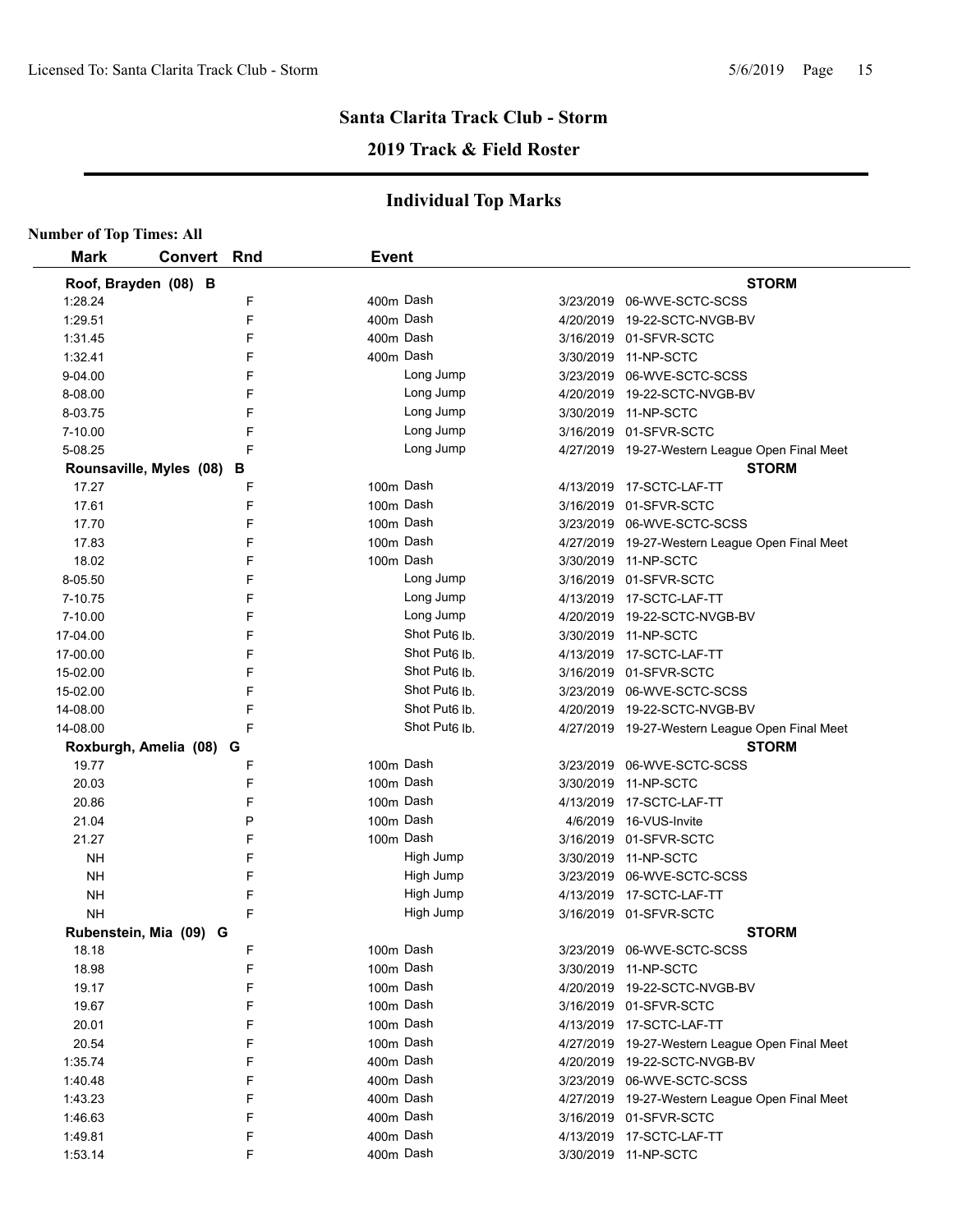# **2019 Track & Field Roster**

| <b>Number of Top Times: All</b> |                         |     |              |                           |           |                                                |
|---------------------------------|-------------------------|-----|--------------|---------------------------|-----------|------------------------------------------------|
| <b>Mark</b>                     | Convert                 | Rnd | <b>Event</b> |                           |           |                                                |
|                                 | Roof, Brayden (08) B    |     |              |                           |           | <b>STORM</b>                                   |
| 1:28.24                         |                         | F   | 400m Dash    |                           |           | 3/23/2019 06-WVE-SCTC-SCSS                     |
| 1:29.51                         |                         | F   | 400m Dash    |                           |           | 4/20/2019 19-22-SCTC-NVGB-BV                   |
| 1:31.45                         |                         | F   |              | 400m Dash                 |           | 3/16/2019 01-SFVR-SCTC                         |
| 1:32.41                         |                         | F   | 400m Dash    |                           |           | 3/30/2019 11-NP-SCTC                           |
| 9-04.00                         |                         | F   |              | Long Jump                 |           | 3/23/2019 06-WVE-SCTC-SCSS                     |
| 8-08.00                         |                         | F   |              | Long Jump                 |           | 4/20/2019 19-22-SCTC-NVGB-BV                   |
| 8-03.75                         |                         | F   |              | Long Jump                 |           | 3/30/2019 11-NP-SCTC                           |
| 7-10.00                         |                         | F   |              | Long Jump                 |           | 3/16/2019 01-SFVR-SCTC                         |
| 5-08.25                         |                         | F   |              | Long Jump                 |           | 4/27/2019 19-27-Western League Open Final Meet |
|                                 | Rounsaville, Myles (08) | в   |              |                           |           | <b>STORM</b>                                   |
| 17.27                           |                         | F   | 100m Dash    |                           |           | 4/13/2019 17-SCTC-LAF-TT                       |
| 17.61                           |                         | F   | 100m Dash    |                           |           | 3/16/2019 01-SFVR-SCTC                         |
| 17.70                           |                         | F   | 100m Dash    |                           |           | 3/23/2019 06-WVE-SCTC-SCSS                     |
| 17.83                           |                         | F   | 100m Dash    |                           |           | 4/27/2019 19-27-Western League Open Final Meet |
| 18.02                           |                         | F   | 100m Dash    |                           |           | 3/30/2019 11-NP-SCTC                           |
| 8-05.50                         |                         | F   |              | Long Jump                 |           | 3/16/2019 01-SFVR-SCTC                         |
| 7-10.75                         |                         | F   |              | Long Jump                 |           | 4/13/2019 17-SCTC-LAF-TT                       |
| 7-10.00                         |                         | F   |              | Long Jump                 |           | 4/20/2019 19-22-SCTC-NVGB-BV                   |
| 17-04.00                        |                         | F   |              | Shot Put <sub>6</sub> lb. |           | 3/30/2019 11-NP-SCTC                           |
| 17-00.00                        |                         | F   |              | Shot Put <sub>6</sub> lb. |           | 4/13/2019  17-SCTC-LAF-TT                      |
| 15-02.00                        |                         | F   |              | Shot Put <sub>6</sub> lb. |           | 3/16/2019 01-SFVR-SCTC                         |
| 15-02.00                        |                         | F   |              | Shot Put <sub>6</sub> lb. |           | 3/23/2019 06-WVE-SCTC-SCSS                     |
| 14-08.00                        |                         | F   |              | Shot Put <sub>6</sub> lb. |           | 4/20/2019 19-22-SCTC-NVGB-BV                   |
| 14-08.00                        |                         | F   |              | Shot Put <sub>6</sub> lb. |           | 4/27/2019 19-27-Western League Open Final Meet |
|                                 | Roxburgh, Amelia (08) G |     |              |                           |           | <b>STORM</b>                                   |
| 19.77                           |                         | F   | 100m Dash    |                           |           | 3/23/2019 06-WVE-SCTC-SCSS                     |
| 20.03                           |                         | F   | 100m Dash    |                           | 3/30/2019 | 11-NP-SCTC                                     |
| 20.86                           |                         | F   | 100m Dash    |                           |           | 4/13/2019 17-SCTC-LAF-TT                       |
| 21.04                           |                         | P   | 100m Dash    |                           |           | 4/6/2019 16-VUS-Invite                         |
| 21.27                           |                         | F   | 100m Dash    |                           |           | 3/16/2019 01-SFVR-SCTC                         |
| <b>NH</b>                       |                         | F   |              | High Jump                 |           | 3/30/2019 11-NP-SCTC                           |
| <b>NH</b>                       |                         | F   |              | High Jump                 |           | 3/23/2019 06-WVE-SCTC-SCSS                     |
| <b>NH</b>                       |                         | F   |              | High Jump                 |           | 4/13/2019 17-SCTC-LAF-TT                       |
| <b>NH</b>                       |                         | E   |              | High Jump                 |           | 3/16/2019 01-SFVR-SCTC                         |
|                                 | Rubenstein, Mia (09) G  |     |              |                           |           | <b>STORM</b>                                   |
| 18.18                           |                         | F   | 100m Dash    |                           |           | 3/23/2019 06-WVE-SCTC-SCSS                     |
| 18.98                           |                         | F   | 100m Dash    |                           |           | 3/30/2019 11-NP-SCTC                           |
| 19.17                           |                         | F   |              | 100m Dash                 |           | 4/20/2019 19-22-SCTC-NVGB-BV                   |
| 19.67                           |                         | F   |              | 100m Dash                 |           | 3/16/2019 01-SFVR-SCTC                         |
| 20.01                           |                         | F   |              | 100m Dash                 |           | 4/13/2019 17-SCTC-LAF-TT                       |
| 20.54                           |                         | F   |              | 100m Dash                 |           | 4/27/2019 19-27-Western League Open Final Meet |
| 1:35.74                         |                         | F   |              | 400m Dash                 |           | 4/20/2019 19-22-SCTC-NVGB-BV                   |
| 1:40.48                         |                         | F   |              | 400m Dash                 |           | 3/23/2019 06-WVE-SCTC-SCSS                     |
| 1:43.23                         |                         | F   |              | 400m Dash                 |           | 4/27/2019 19-27-Western League Open Final Meet |
| 1:46.63                         |                         | F   |              | 400m Dash                 |           | 3/16/2019 01-SFVR-SCTC                         |
| 1:49.81                         |                         | F   |              | 400m Dash                 |           | 4/13/2019 17-SCTC-LAF-TT                       |
| 1.53.14                         |                         | F   | 400m Dash    |                           |           | 3/30/2019 11-NP-SCTC                           |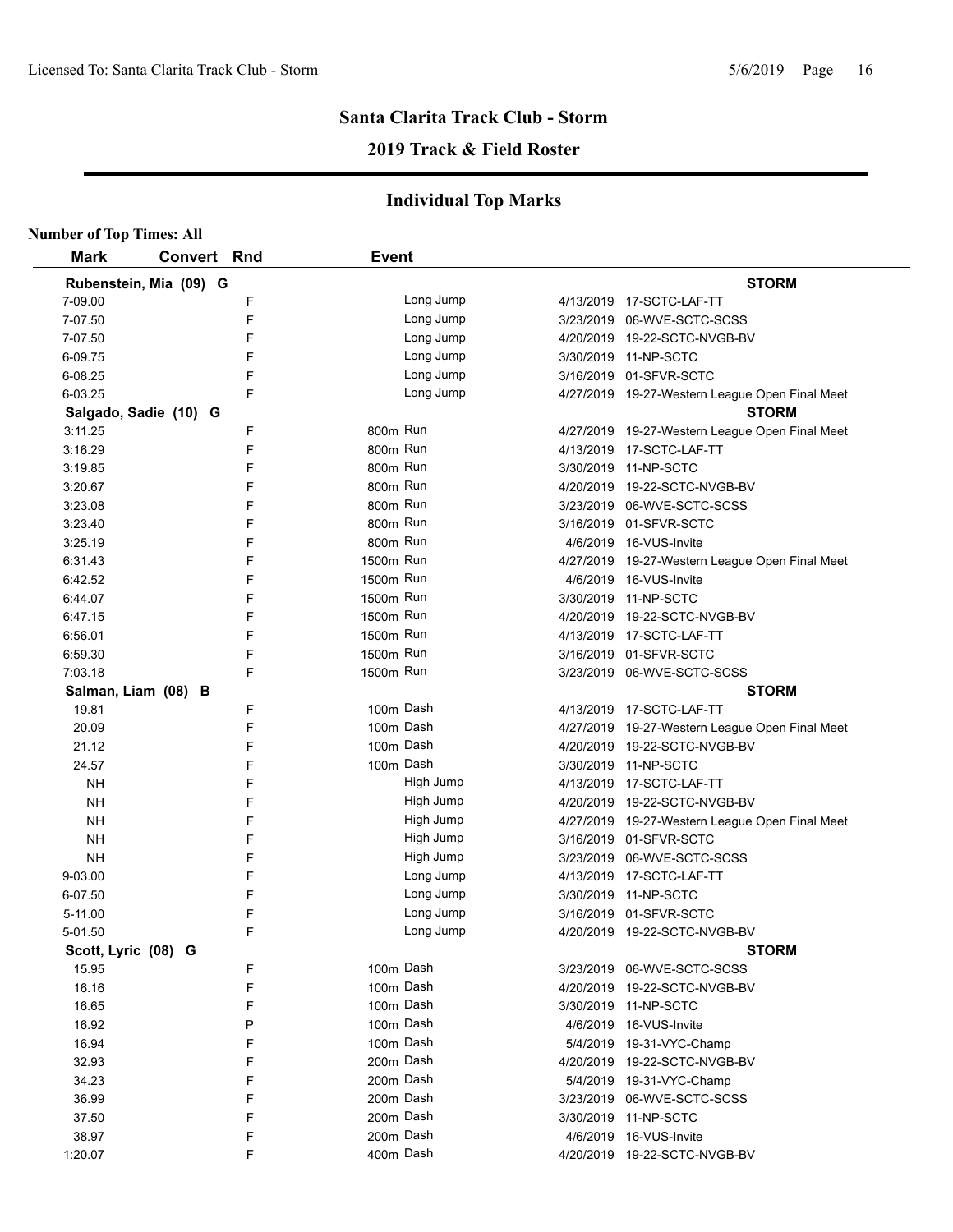## **2019 Track & Field Roster**

| <b>Number of Top Times: All</b> |                        |   |              |           |                                                |
|---------------------------------|------------------------|---|--------------|-----------|------------------------------------------------|
| <b>Mark</b>                     | Convert Rnd            |   | <b>Event</b> |           |                                                |
|                                 | Rubenstein, Mia (09) G |   |              |           | <b>STORM</b>                                   |
| 7-09.00                         |                        | F |              | Long Jump | 4/13/2019  17-SCTC-LAF-TT                      |
| 7-07.50                         |                        | F |              | Long Jump | 3/23/2019 06-WVE-SCTC-SCSS                     |
| 7-07.50                         |                        | F |              | Long Jump | 4/20/2019 19-22-SCTC-NVGB-BV                   |
| 6-09.75                         |                        | F |              | Long Jump | 3/30/2019 11-NP-SCTC                           |
| 6-08.25                         |                        | F |              | Long Jump | 3/16/2019 01-SFVR-SCTC                         |
| 6-03.25                         |                        | F |              | Long Jump | 4/27/2019 19-27-Western League Open Final Meet |
|                                 | Salgado, Sadie (10) G  |   |              |           | <b>STORM</b>                                   |
| 3:11.25                         |                        | F | 800m Run     |           | 4/27/2019 19-27-Western League Open Final Meet |
| 3:16.29                         |                        | F | 800m Run     |           | 4/13/2019 17-SCTC-LAF-TT                       |
| 3:19.85                         |                        | F | 800m Run     |           | 3/30/2019 11-NP-SCTC                           |
| 3:20.67                         |                        | F | 800m Run     |           | 4/20/2019 19-22-SCTC-NVGB-BV                   |
| 3:23.08                         |                        | F | 800m Run     |           | 3/23/2019 06-WVE-SCTC-SCSS                     |
| 3:23.40                         |                        | F | 800m Run     |           | 3/16/2019 01-SFVR-SCTC                         |
| 3:25.19                         |                        | F | 800m Run     |           | 4/6/2019 16-VUS-Invite                         |
| 6:31.43                         |                        | F | 1500m Run    |           | 4/27/2019 19-27-Western League Open Final Meet |
| 6:42.52                         |                        | F | 1500m Run    |           | 4/6/2019 16-VUS-Invite                         |
| 6:44.07                         |                        | F | 1500m Run    |           | 3/30/2019 11-NP-SCTC                           |
| 6:47.15                         |                        | F | 1500m Run    |           | 4/20/2019 19-22-SCTC-NVGB-BV                   |
| 6:56.01                         |                        | F | 1500m Run    |           | 4/13/2019 17-SCTC-LAF-TT                       |
| 6:59.30                         |                        | F | 1500m Run    |           | 3/16/2019 01-SFVR-SCTC                         |
| 7:03.18                         |                        | F | 1500m Run    |           | 3/23/2019 06-WVE-SCTC-SCSS                     |
|                                 | Salman, Liam (08) B    |   |              |           | <b>STORM</b>                                   |
| 19.81                           |                        | F |              | 100m Dash | 4/13/2019 17-SCTC-LAF-TT                       |
| 20.09                           |                        | F |              | 100m Dash | 4/27/2019 19-27-Western League Open Final Meet |
| 21.12                           |                        | F |              | 100m Dash | 4/20/2019 19-22-SCTC-NVGB-BV                   |
| 24.57                           |                        | F |              | 100m Dash | 3/30/2019 11-NP-SCTC                           |
| <b>NH</b>                       |                        | F |              | High Jump | 4/13/2019 17-SCTC-LAF-TT                       |
| <b>NH</b>                       |                        | F |              | High Jump | 4/20/2019  19-22-SCTC-NVGB-BV                  |
| NΗ                              |                        | F |              | High Jump | 4/27/2019 19-27-Western League Open Final Meet |
| <b>NH</b>                       |                        | F |              | High Jump | 3/16/2019 01-SFVR-SCTC                         |
| <b>NH</b>                       |                        | F |              | High Jump | 3/23/2019 06-WVE-SCTC-SCSS                     |
| 9-03.00                         |                        | F |              | Long Jump | 4/13/2019 17-SCTC-LAF-TT                       |
| 6-07.50                         |                        | F |              | Long Jump | 3/30/2019 11-NP-SCTC                           |
| 5-11.00                         |                        | E |              | Long Jump | 3/16/2019 01-SFVR-SCTC                         |
| 5-01.50                         |                        | F |              | Long Jump | 4/20/2019 19-22-SCTC-NVGB-BV                   |
| Scott, Lyric (08) G             |                        |   |              |           | <b>STORM</b>                                   |
| 15.95                           |                        | F |              | 100m Dash | 3/23/2019 06-WVE-SCTC-SCSS                     |
| 16.16                           |                        | F |              | 100m Dash | 4/20/2019 19-22-SCTC-NVGB-BV                   |
| 16.65                           |                        | F |              | 100m Dash | 3/30/2019 11-NP-SCTC                           |
| 16.92                           |                        | P |              | 100m Dash | 4/6/2019 16-VUS-Invite                         |
| 16.94                           |                        | F |              | 100m Dash | 5/4/2019 19-31-VYC-Champ                       |
| 32.93                           |                        | F |              | 200m Dash | 4/20/2019 19-22-SCTC-NVGB-BV                   |
| 34.23                           |                        | F |              | 200m Dash | 5/4/2019 19-31-VYC-Champ                       |
| 36.99                           |                        | F |              | 200m Dash | 3/23/2019 06-WVE-SCTC-SCSS                     |
| 37.50                           |                        | F |              | 200m Dash | 3/30/2019 11-NP-SCTC                           |
| 38.97                           |                        | F |              | 200m Dash | 4/6/2019 16-VUS-Invite                         |
| 1:20.07                         |                        | F |              | 400m Dash | 4/20/2019 19-22-SCTC-NVGB-BV                   |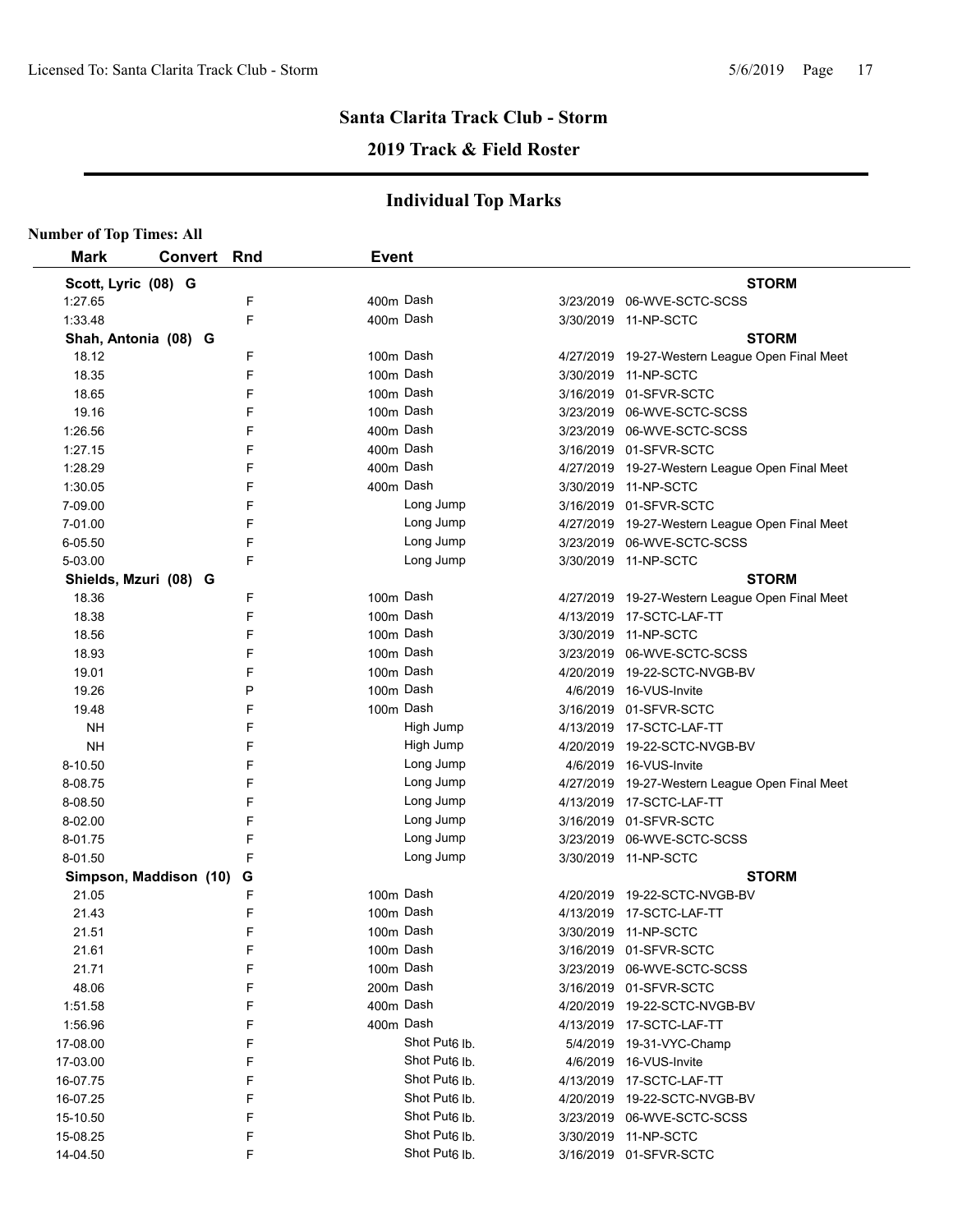**Number of Top Times: All**

# **Santa Clarita Track Club - Storm**

## **2019 Track & Field Roster**

| <b>STORM</b><br><b>STORM</b><br>4/27/2019 19-27-Western League Open Final Meet |
|--------------------------------------------------------------------------------|
|                                                                                |
|                                                                                |
|                                                                                |
|                                                                                |
|                                                                                |
|                                                                                |
|                                                                                |
|                                                                                |
|                                                                                |
|                                                                                |
| 4/27/2019 19-27-Western League Open Final Meet                                 |
|                                                                                |
|                                                                                |
| 4/27/2019 19-27-Western League Open Final Meet                                 |
|                                                                                |
|                                                                                |
| <b>STORM</b>                                                                   |
| 4/27/2019 19-27-Western League Open Final Meet                                 |
|                                                                                |
|                                                                                |
|                                                                                |
|                                                                                |
|                                                                                |
|                                                                                |
|                                                                                |
|                                                                                |
|                                                                                |
| 4/27/2019 19-27-Western League Open Final Meet                                 |
|                                                                                |
|                                                                                |
|                                                                                |
|                                                                                |
| <b>STORM</b>                                                                   |
|                                                                                |
|                                                                                |
|                                                                                |
|                                                                                |
|                                                                                |
|                                                                                |
|                                                                                |
|                                                                                |
|                                                                                |
|                                                                                |
|                                                                                |
|                                                                                |
|                                                                                |
|                                                                                |
|                                                                                |
|                                                                                |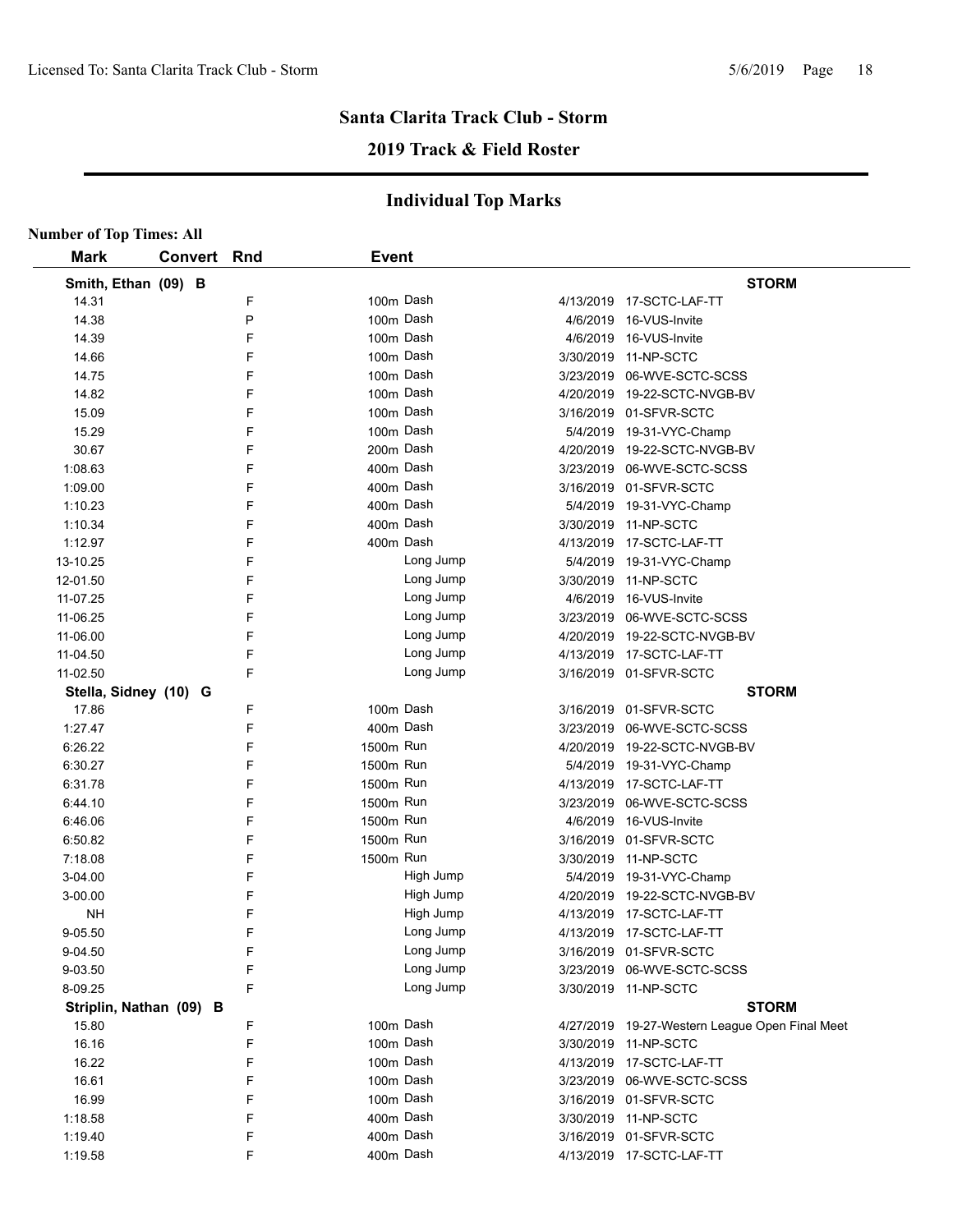# **2019 Track & Field Roster**

|                         | <b>Number of Top Times: All</b> |              |  |                                                |  |  |  |  |
|-------------------------|---------------------------------|--------------|--|------------------------------------------------|--|--|--|--|
| <b>Mark</b>             | <b>Convert Rnd</b>              | <b>Event</b> |  |                                                |  |  |  |  |
| Smith, Ethan (09) B     |                                 |              |  | <b>STORM</b>                                   |  |  |  |  |
| 14.31                   | F                               | 100m Dash    |  | 4/13/2019  17-SCTC-LAF-TT                      |  |  |  |  |
| 14.38                   | P                               | 100m Dash    |  | 4/6/2019 16-VUS-Invite                         |  |  |  |  |
| 14.39                   | F                               | 100m Dash    |  | 4/6/2019 16-VUS-Invite                         |  |  |  |  |
| 14.66                   | F                               | 100m Dash    |  | 3/30/2019 11-NP-SCTC                           |  |  |  |  |
| 14.75                   | F                               | 100m Dash    |  | 3/23/2019 06-WVE-SCTC-SCSS                     |  |  |  |  |
| 14.82                   | F                               | 100m Dash    |  | 4/20/2019 19-22-SCTC-NVGB-BV                   |  |  |  |  |
| 15.09                   | F                               | 100m Dash    |  | 3/16/2019 01-SFVR-SCTC                         |  |  |  |  |
| 15.29                   | F                               | 100m Dash    |  | 5/4/2019 19-31-VYC-Champ                       |  |  |  |  |
| 30.67                   | F                               | 200m Dash    |  | 4/20/2019 19-22-SCTC-NVGB-BV                   |  |  |  |  |
| 1:08.63                 | F                               | 400m Dash    |  | 3/23/2019 06-WVE-SCTC-SCSS                     |  |  |  |  |
| 1:09.00                 | F                               | 400m Dash    |  | 3/16/2019 01-SFVR-SCTC                         |  |  |  |  |
| 1:10.23                 | F                               | 400m Dash    |  | 5/4/2019 19-31-VYC-Champ                       |  |  |  |  |
| 1:10.34                 | F                               | 400m Dash    |  | 3/30/2019 11-NP-SCTC                           |  |  |  |  |
| 1:12.97                 | F                               | 400m Dash    |  | 4/13/2019 17-SCTC-LAF-TT                       |  |  |  |  |
| 13-10.25                | F                               | Long Jump    |  | 5/4/2019 19-31-VYC-Champ                       |  |  |  |  |
| 12-01.50                | F                               | Long Jump    |  | 3/30/2019 11-NP-SCTC                           |  |  |  |  |
| 11-07.25                | F                               | Long Jump    |  | 4/6/2019 16-VUS-Invite                         |  |  |  |  |
| 11-06.25                | F                               | Long Jump    |  | 3/23/2019 06-WVE-SCTC-SCSS                     |  |  |  |  |
| 11-06.00                | F                               | Long Jump    |  | 4/20/2019 19-22-SCTC-NVGB-BV                   |  |  |  |  |
| 11-04.50                | F                               | Long Jump    |  | 4/13/2019  17-SCTC-LAF-TT                      |  |  |  |  |
| 11-02.50                | F                               | Long Jump    |  | 3/16/2019 01-SFVR-SCTC                         |  |  |  |  |
| Stella, Sidney (10) G   |                                 |              |  | <b>STORM</b>                                   |  |  |  |  |
| 17.86                   | F                               | 100m Dash    |  | 3/16/2019 01-SFVR-SCTC                         |  |  |  |  |
| 1:27.47                 | F                               | 400m Dash    |  | 3/23/2019 06-WVE-SCTC-SCSS                     |  |  |  |  |
| 6:26.22                 | F                               | 1500m Run    |  | 4/20/2019 19-22-SCTC-NVGB-BV                   |  |  |  |  |
| 6:30.27                 | F                               | 1500m Run    |  | 5/4/2019 19-31-VYC-Champ                       |  |  |  |  |
| 6:31.78                 | F                               | 1500m Run    |  | 4/13/2019 17-SCTC-LAF-TT                       |  |  |  |  |
| 6:44.10                 | F                               | 1500m Run    |  | 3/23/2019 06-WVE-SCTC-SCSS                     |  |  |  |  |
| 6:46.06                 | F                               | 1500m Run    |  | 4/6/2019 16-VUS-Invite                         |  |  |  |  |
| 6:50.82                 | F                               | 1500m Run    |  | 3/16/2019 01-SFVR-SCTC                         |  |  |  |  |
| 7:18.08                 | F                               | 1500m Run    |  | 3/30/2019 11-NP-SCTC                           |  |  |  |  |
| 3-04.00                 | F                               | High Jump    |  | 5/4/2019 19-31-VYC-Champ                       |  |  |  |  |
| 3-00.00                 | F                               | High Jump    |  | 4/20/2019 19-22-SCTC-NVGB-BV                   |  |  |  |  |
| <b>NH</b>               | E                               | High Jump    |  | 4/13/2019 17-SCTC-LAF-TT                       |  |  |  |  |
| 9-05.50                 | F                               | Long Jump    |  | 4/13/2019 17-SCTC-LAF-TT                       |  |  |  |  |
| 9-04.50                 | F                               | Long Jump    |  | 3/16/2019 01-SFVR-SCTC                         |  |  |  |  |
| 9-03.50                 | F                               | Long Jump    |  | 3/23/2019 06-WVE-SCTC-SCSS                     |  |  |  |  |
| 8-09.25                 | F                               | Long Jump    |  | 3/30/2019 11-NP-SCTC                           |  |  |  |  |
|                         |                                 |              |  | <b>STORM</b>                                   |  |  |  |  |
| Striplin, Nathan (09) B | F                               | 100m Dash    |  |                                                |  |  |  |  |
| 15.80                   | F                               | 100m Dash    |  | 4/27/2019 19-27-Western League Open Final Meet |  |  |  |  |
| 16.16                   | F                               | 100m Dash    |  | 3/30/2019 11-NP-SCTC                           |  |  |  |  |
| 16.22                   |                                 |              |  | 4/13/2019 17-SCTC-LAF-TT                       |  |  |  |  |
| 16.61                   | F                               | 100m Dash    |  | 3/23/2019 06-WVE-SCTC-SCSS                     |  |  |  |  |
| 16.99                   | F                               | 100m Dash    |  | 3/16/2019 01-SFVR-SCTC                         |  |  |  |  |
| 1:18.58                 | F                               | 400m Dash    |  | 3/30/2019 11-NP-SCTC                           |  |  |  |  |
| 1:19.40                 | F                               | 400m Dash    |  | 3/16/2019 01-SFVR-SCTC                         |  |  |  |  |
| 1:19.58                 | F                               | 400m Dash    |  | 4/13/2019 17-SCTC-LAF-TT                       |  |  |  |  |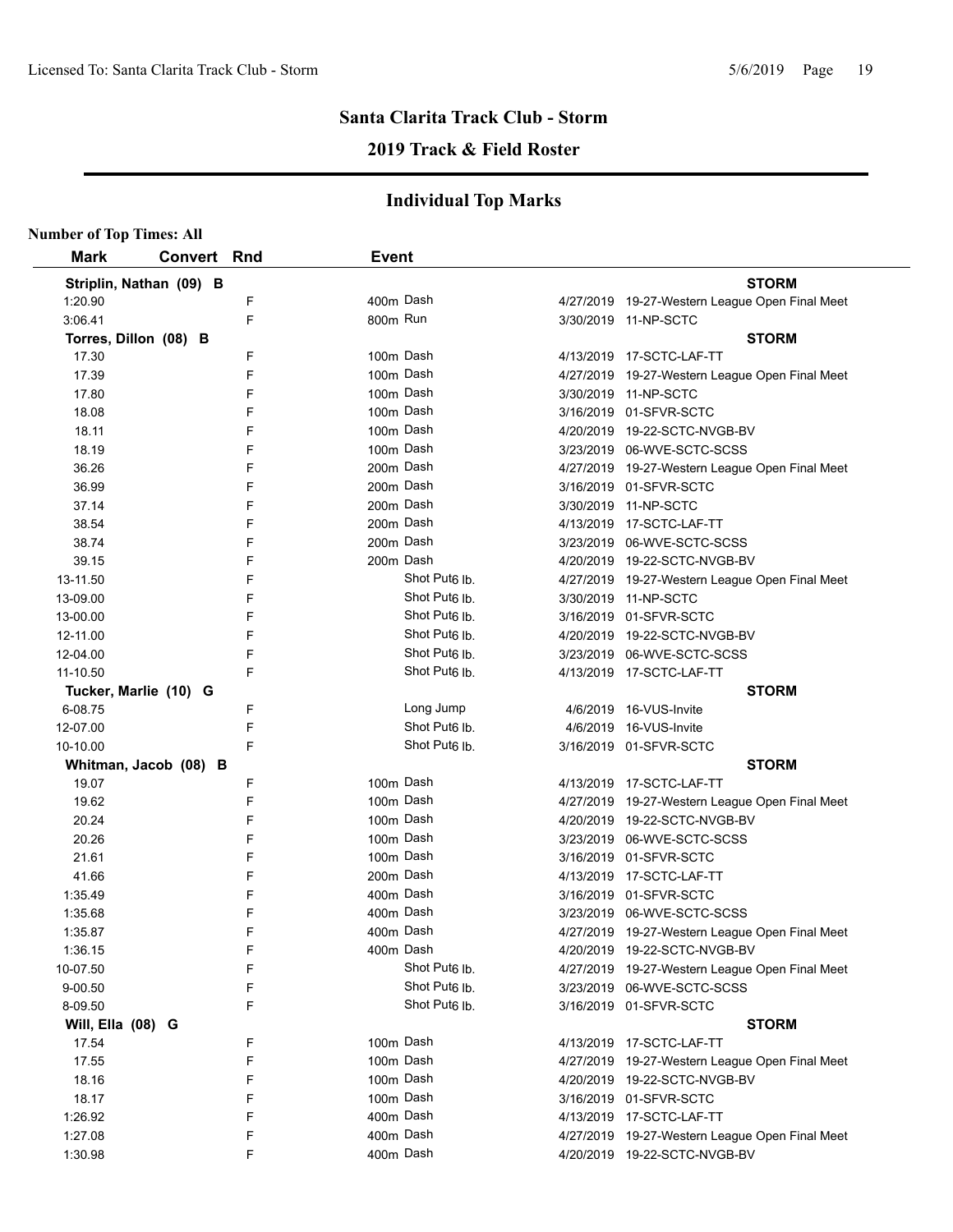# **2019 Track & Field Roster**

| <b>Number of Top Times: All</b> |                         |   |                           |                                                |
|---------------------------------|-------------------------|---|---------------------------|------------------------------------------------|
| <b>Mark</b>                     | <b>Convert Rnd</b>      |   | <b>Event</b>              |                                                |
|                                 | Striplin, Nathan (09) B |   |                           | <b>STORM</b>                                   |
| 1:20.90                         |                         | F | 400m Dash                 | 4/27/2019 19-27-Western League Open Final Meet |
| 3:06.41                         |                         | F | 800m Run                  | 3/30/2019 11-NP-SCTC                           |
|                                 | Torres, Dillon (08) B   |   |                           | <b>STORM</b>                                   |
| 17.30                           |                         | F | 100m Dash                 | 4/13/2019 17-SCTC-LAF-TT                       |
| 17.39                           |                         | F | 100m Dash                 | 4/27/2019 19-27-Western League Open Final Meet |
| 17.80                           |                         | F | 100m Dash                 | 3/30/2019 11-NP-SCTC                           |
| 18.08                           |                         | F | 100m Dash                 | 3/16/2019 01-SFVR-SCTC                         |
| 18.11                           |                         | F | 100m Dash                 | 4/20/2019 19-22-SCTC-NVGB-BV                   |
| 18.19                           |                         | F | 100m Dash                 | 3/23/2019 06-WVE-SCTC-SCSS                     |
| 36.26                           |                         | F | 200m Dash                 | 4/27/2019 19-27-Western League Open Final Meet |
| 36.99                           |                         | F | 200m Dash                 | 3/16/2019 01-SFVR-SCTC                         |
| 37.14                           |                         | F | 200m Dash                 | 3/30/2019 11-NP-SCTC                           |
| 38.54                           |                         | F | 200m Dash                 | 4/13/2019 17-SCTC-LAF-TT                       |
| 38.74                           |                         | F | 200m Dash                 | 3/23/2019 06-WVE-SCTC-SCSS                     |
| 39.15                           |                         | F | 200m Dash                 | 4/20/2019 19-22-SCTC-NVGB-BV                   |
| 13-11.50                        |                         | F | Shot Put <sub>6</sub> lb. | 4/27/2019 19-27-Western League Open Final Meet |
| 13-09.00                        |                         | F | Shot Put <sub>6</sub> lb. | 3/30/2019 11-NP-SCTC                           |
| 13-00.00                        |                         | F | Shot Put <sub>6</sub> lb. | 3/16/2019 01-SFVR-SCTC                         |
| 12-11.00                        |                         | F | Shot Put <sub>6</sub> lb. | 4/20/2019 19-22-SCTC-NVGB-BV                   |
| 12-04.00                        |                         | F | Shot Put <sub>6</sub> lb. | 3/23/2019 06-WVE-SCTC-SCSS                     |
| 11-10.50                        |                         | F | Shot Put <sub>6</sub> lb. | 4/13/2019 17-SCTC-LAF-TT                       |
|                                 | Tucker, Marlie (10) G   |   |                           | <b>STORM</b>                                   |
| 6-08.75                         |                         | F | Long Jump                 | 4/6/2019 16-VUS-Invite                         |
| 12-07.00                        |                         | F | Shot Put <sub>6</sub> lb. | 4/6/2019 16-VUS-Invite                         |
| 10-10.00                        |                         | F | Shot Put <sub>6</sub> Ib. | 3/16/2019 01-SFVR-SCTC                         |
|                                 | Whitman, Jacob (08) B   |   |                           | <b>STORM</b>                                   |
| 19.07                           |                         | F | 100m Dash                 | 4/13/2019 17-SCTC-LAF-TT                       |
| 19.62                           |                         | F | 100m Dash                 | 4/27/2019 19-27-Western League Open Final Meet |
| 20.24                           |                         | F | 100m Dash                 | 4/20/2019 19-22-SCTC-NVGB-BV                   |
| 20.26                           |                         | F | 100m Dash                 | 3/23/2019 06-WVE-SCTC-SCSS                     |
| 21.61                           |                         | F | 100m Dash                 | 3/16/2019 01-SFVR-SCTC                         |
| 41.66                           |                         | F | 200m Dash                 | 4/13/2019 17-SCTC-LAF-TT                       |
| 1:35.49                         |                         | F | 400m Dash                 | 3/16/2019 01-SFVR-SCTC                         |
| 1:35.68                         |                         | F | 400m Dash                 | 3/23/2019 06-WVE-SCTC-SCSS                     |
| 1:35.87                         |                         | F | 400m Dash                 | 4/27/2019 19-27-Western League Open Final Meet |
| 1:36.15                         |                         | F | 400m Dash                 | 4/20/2019 19-22-SCTC-NVGB-BV                   |
| 10-07.50                        |                         | F | Shot Put6 lb.             | 4/27/2019 19-27-Western League Open Final Meet |
| 9-00.50                         |                         | F | Shot Put <sub>6</sub> lb. | 3/23/2019 06-WVE-SCTC-SCSS                     |
| 8-09.50                         |                         | F | Shot Put <sub>6</sub> lb. | 3/16/2019 01-SFVR-SCTC                         |
| Will, Ella (08) G               |                         |   |                           | <b>STORM</b>                                   |
| 17.54                           |                         | F | 100m Dash                 | 4/13/2019 17-SCTC-LAF-TT                       |
| 17.55                           |                         | F | 100m Dash                 | 4/27/2019 19-27-Western League Open Final Meet |
| 18.16                           |                         | F | 100m Dash                 | 4/20/2019 19-22-SCTC-NVGB-BV                   |
| 18.17                           |                         | F | 100m Dash                 | 3/16/2019 01-SFVR-SCTC                         |
| 1:26.92                         |                         | F | 400m Dash                 | 4/13/2019 17-SCTC-LAF-TT                       |
| 1:27.08                         |                         | F | 400m Dash                 | 4/27/2019 19-27-Western League Open Final Meet |
| 1:30.98                         |                         | F | 400m Dash                 | 4/20/2019 19-22-SCTC-NVGB-BV                   |